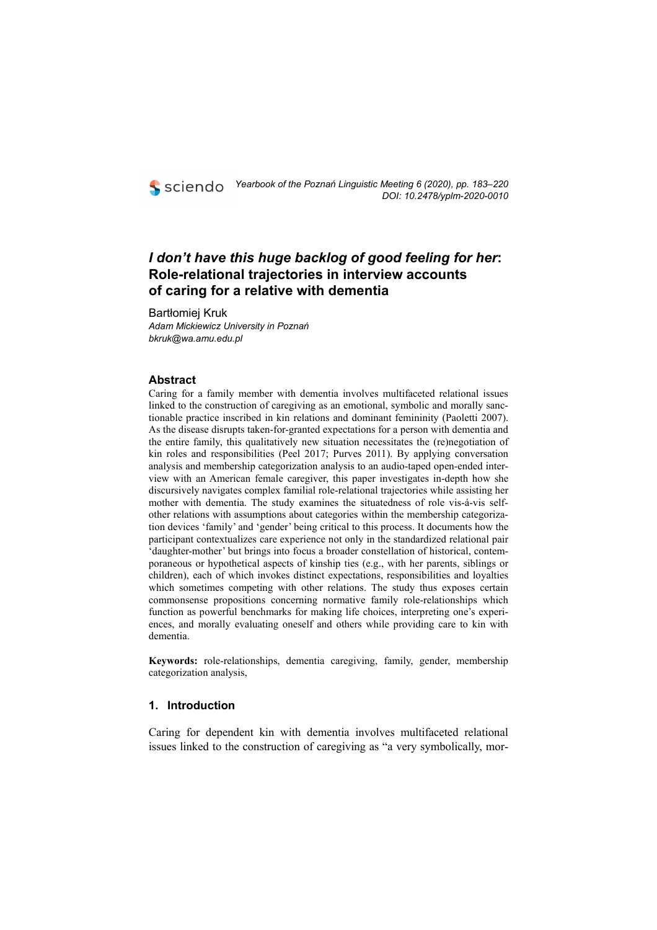## *I don't have this huge backlog of good feeling for her***: Role-relational trajectories in interview accounts of caring for a relative with dementia**

Bartłomiej Kruk *Adam Mickiewicz University in Poznań bkruk@wa.amu.edu.pl* 

## **Abstract**

Caring for a family member with dementia involves multifaceted relational issues linked to the construction of caregiving as an emotional, symbolic and morally sanctionable practice inscribed in kin relations and dominant femininity (Paoletti 2007). As the disease disrupts taken-for-granted expectations for a person with dementia and the entire family, this qualitatively new situation necessitates the (re)negotiation of kin roles and responsibilities (Peel 2017; Purves 2011). By applying conversation analysis and membership categorization analysis to an audio-taped open-ended interview with an American female caregiver, this paper investigates in-depth how she discursively navigates complex familial role-relational trajectories while assisting her mother with dementia. The study examines the situatedness of role vis-á-vis selfother relations with assumptions about categories within the membership categorization devices 'family' and 'gender' being critical to this process. It documents how the participant contextualizes care experience not only in the standardized relational pair 'daughter-mother' but brings into focus a broader constellation of historical, contemporaneous or hypothetical aspects of kinship ties (e.g., with her parents, siblings or children), each of which invokes distinct expectations, responsibilities and loyalties which sometimes competing with other relations. The study thus exposes certain commonsense propositions concerning normative family role-relationships which function as powerful benchmarks for making life choices, interpreting one's experiences, and morally evaluating oneself and others while providing care to kin with dementia.

**Keywords:** role-relationships, dementia caregiving, family, gender, membership categorization analysis,

## **1. Introduction**

Caring for dependent kin with dementia involves multifaceted relational issues linked to the construction of caregiving as "a very symbolically, mor-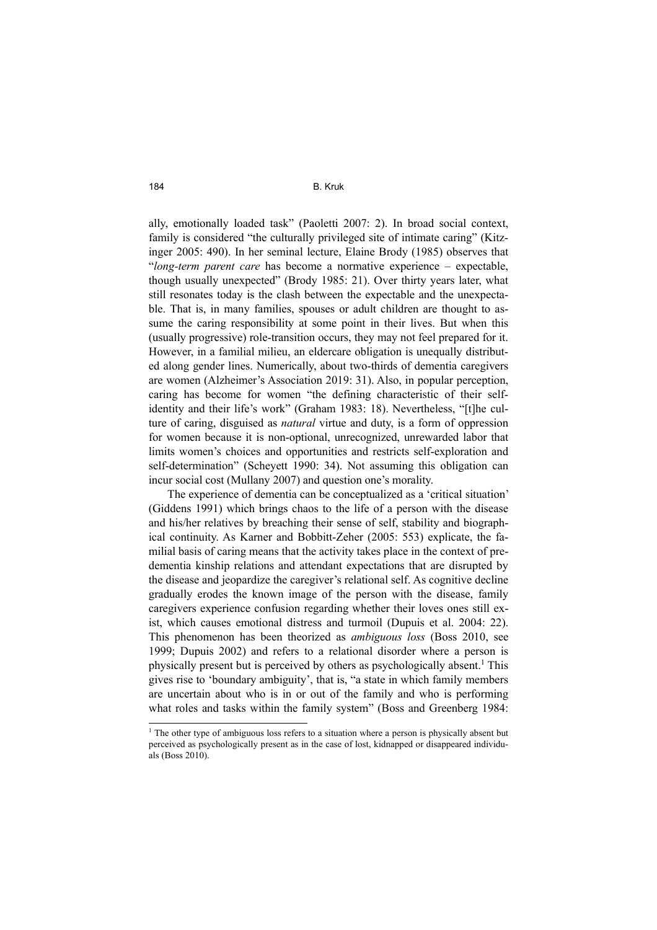ally, emotionally loaded task" (Paoletti 2007: 2). In broad social context, family is considered "the culturally privileged site of intimate caring" (Kitzinger 2005: 490). In her seminal lecture, Elaine Brody (1985) observes that "*long-term parent care* has become a normative experience – expectable, though usually unexpected" (Brody 1985: 21). Over thirty years later, what still resonates today is the clash between the expectable and the unexpectable. That is, in many families, spouses or adult children are thought to assume the caring responsibility at some point in their lives. But when this (usually progressive) role-transition occurs, they may not feel prepared for it. However, in a familial milieu, an eldercare obligation is unequally distributed along gender lines. Numerically, about two-thirds of dementia caregivers are women (Alzheimer's Association 2019: 31). Also, in popular perception, caring has become for women "the defining characteristic of their selfidentity and their life's work" (Graham 1983: 18). Nevertheless, "[t]he culture of caring, disguised as *natural* virtue and duty, is a form of oppression for women because it is non-optional, unrecognized, unrewarded labor that limits women's choices and opportunities and restricts self-exploration and self-determination" (Scheyett 1990: 34). Not assuming this obligation can incur social cost (Mullany 2007) and question one's morality.

The experience of dementia can be conceptualized as a 'critical situation' (Giddens 1991) which brings chaos to the life of a person with the disease and his/her relatives by breaching their sense of self, stability and biographical continuity. As Karner and Bobbitt-Zeher (2005: 553) explicate, the familial basis of caring means that the activity takes place in the context of predementia kinship relations and attendant expectations that are disrupted by the disease and jeopardize the caregiver's relational self. As cognitive decline gradually erodes the known image of the person with the disease, family caregivers experience confusion regarding whether their loves ones still exist, which causes emotional distress and turmoil (Dupuis et al. 2004: 22). This phenomenon has been theorized as *ambiguous loss* (Boss 2010, see 1999; Dupuis 2002) and refers to a relational disorder where a person is physically present but is perceived by others as psychologically absent.<sup>1</sup> This gives rise to 'boundary ambiguity', that is, "a state in which family members are uncertain about who is in or out of the family and who is performing what roles and tasks within the family system" (Boss and Greenberg 1984:

<sup>1</sup> The other type of ambiguous loss refers to a situation where a person is physically absent but perceived as psychologically present as in the case of lost, kidnapped or disappeared individuals (Boss 2010).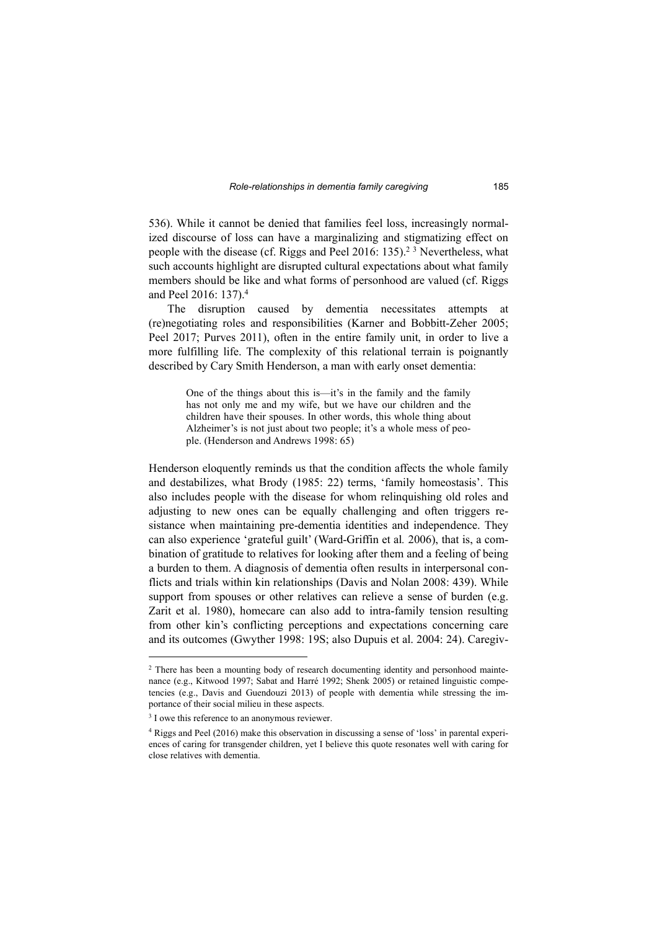536). While it cannot be denied that families feel loss, increasingly normalized discourse of loss can have a marginalizing and stigmatizing effect on people with the disease (cf. Riggs and Peel 2016: 135).<sup>23</sup> Nevertheless, what such accounts highlight are disrupted cultural expectations about what family members should be like and what forms of personhood are valued (cf. Riggs and Peel 2016: 137).<sup>4</sup>

The disruption caused by dementia necessitates attempts at (re)negotiating roles and responsibilities (Karner and Bobbitt-Zeher 2005; Peel 2017; Purves 2011), often in the entire family unit, in order to live a more fulfilling life. The complexity of this relational terrain is poignantly described by Cary Smith Henderson, a man with early onset dementia:

> One of the things about this is—it's in the family and the family has not only me and my wife, but we have our children and the children have their spouses. In other words, this whole thing about Alzheimer's is not just about two people; it's a whole mess of people. (Henderson and Andrews 1998: 65)

Henderson eloquently reminds us that the condition affects the whole family and destabilizes, what Brody (1985: 22) terms, 'family homeostasis'. This also includes people with the disease for whom relinquishing old roles and adjusting to new ones can be equally challenging and often triggers resistance when maintaining pre-dementia identities and independence. They can also experience 'grateful guilt' (Ward-Griffin et al*.* 2006), that is, a combination of gratitude to relatives for looking after them and a feeling of being a burden to them. A diagnosis of dementia often results in interpersonal conflicts and trials within kin relationships (Davis and Nolan 2008: 439). While support from spouses or other relatives can relieve a sense of burden (e.g. Zarit et al. 1980), homecare can also add to intra-family tension resulting from other kin's conflicting perceptions and expectations concerning care and its outcomes (Gwyther 1998: 19S; also Dupuis et al. 2004: 24). Caregiv-

<sup>&</sup>lt;sup>2</sup> There has been a mounting body of research documenting identity and personhood maintenance (e.g., Kitwood 1997; Sabat and Harré 1992; Shenk 2005) or retained linguistic competencies (e.g., Davis and Guendouzi 2013) of people with dementia while stressing the importance of their social milieu in these aspects.

<sup>&</sup>lt;sup>3</sup> I owe this reference to an anonymous reviewer.

<sup>4</sup> Riggs and Peel (2016) make this observation in discussing a sense of 'loss' in parental experiences of caring for transgender children, yet I believe this quote resonates well with caring for close relatives with dementia.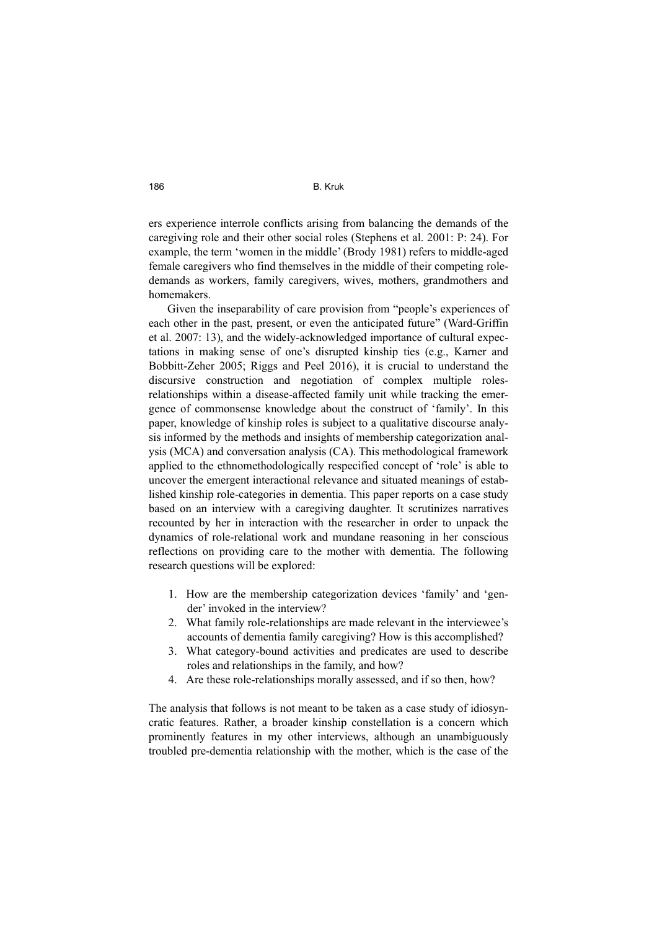#### 186 B. Kruk

ers experience interrole conflicts arising from balancing the demands of the caregiving role and their other social roles (Stephens et al. 2001: P: 24). For example, the term 'women in the middle' (Brody 1981) refers to middle-aged female caregivers who find themselves in the middle of their competing roledemands as workers, family caregivers, wives, mothers, grandmothers and homemakers.

Given the inseparability of care provision from "people's experiences of each other in the past, present, or even the anticipated future" (Ward-Griffin et al. 2007: 13), and the widely-acknowledged importance of cultural expectations in making sense of one's disrupted kinship ties (e.g., Karner and Bobbitt-Zeher 2005; Riggs and Peel 2016), it is crucial to understand the discursive construction and negotiation of complex multiple rolesrelationships within a disease-affected family unit while tracking the emergence of commonsense knowledge about the construct of 'family'. In this paper, knowledge of kinship roles is subject to a qualitative discourse analysis informed by the methods and insights of membership categorization analysis (MCA) and conversation analysis (CA). This methodological framework applied to the ethnomethodologically respecified concept of 'role' is able to uncover the emergent interactional relevance and situated meanings of established kinship role-categories in dementia. This paper reports on a case study based on an interview with a caregiving daughter. It scrutinizes narratives recounted by her in interaction with the researcher in order to unpack the dynamics of role-relational work and mundane reasoning in her conscious reflections on providing care to the mother with dementia. The following research questions will be explored:

- 1. How are the membership categorization devices 'family' and 'gender' invoked in the interview?
- 2. What family role-relationships are made relevant in the interviewee's accounts of dementia family caregiving? How is this accomplished?
- 3. What category-bound activities and predicates are used to describe roles and relationships in the family, and how?
- 4. Are these role-relationships morally assessed, and if so then, how?

The analysis that follows is not meant to be taken as a case study of idiosyncratic features. Rather, a broader kinship constellation is a concern which prominently features in my other interviews, although an unambiguously troubled pre-dementia relationship with the mother, which is the case of the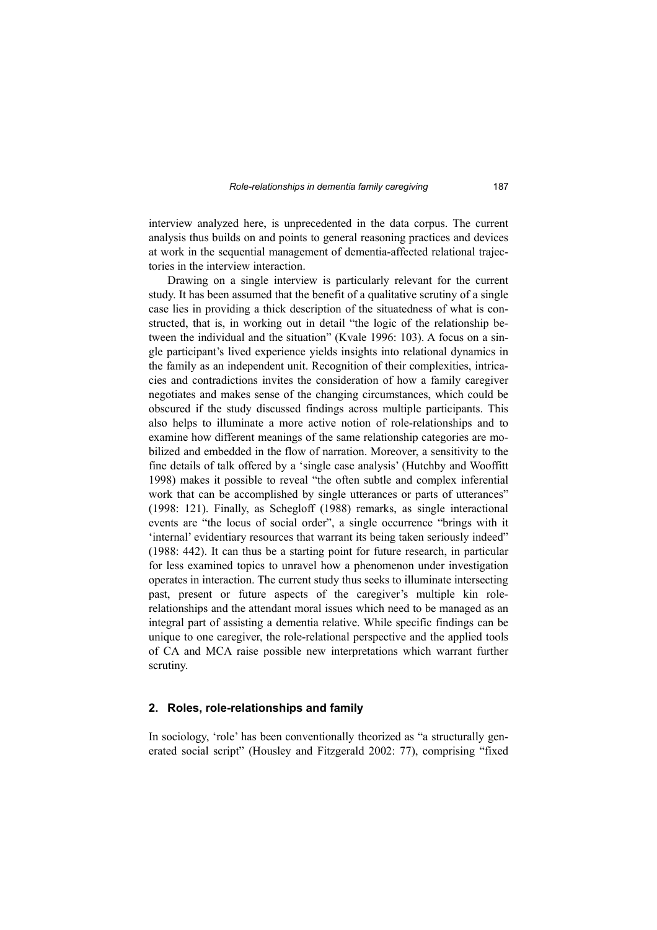interview analyzed here, is unprecedented in the data corpus. The current analysis thus builds on and points to general reasoning practices and devices at work in the sequential management of dementia-affected relational trajectories in the interview interaction.

Drawing on a single interview is particularly relevant for the current study. It has been assumed that the benefit of a qualitative scrutiny of a single case lies in providing a thick description of the situatedness of what is constructed, that is, in working out in detail "the logic of the relationship between the individual and the situation" (Kvale 1996: 103). A focus on a single participant's lived experience yields insights into relational dynamics in the family as an independent unit. Recognition of their complexities, intricacies and contradictions invites the consideration of how a family caregiver negotiates and makes sense of the changing circumstances, which could be obscured if the study discussed findings across multiple participants. This also helps to illuminate a more active notion of role-relationships and to examine how different meanings of the same relationship categories are mobilized and embedded in the flow of narration. Moreover, a sensitivity to the fine details of talk offered by a 'single case analysis' (Hutchby and Wooffitt 1998) makes it possible to reveal "the often subtle and complex inferential work that can be accomplished by single utterances or parts of utterances" (1998: 121). Finally, as Schegloff (1988) remarks, as single interactional events are "the locus of social order", a single occurrence "brings with it 'internal' evidentiary resources that warrant its being taken seriously indeed" (1988: 442). It can thus be a starting point for future research, in particular for less examined topics to unravel how a phenomenon under investigation operates in interaction. The current study thus seeks to illuminate intersecting past, present or future aspects of the caregiver's multiple kin rolerelationships and the attendant moral issues which need to be managed as an integral part of assisting a dementia relative. While specific findings can be unique to one caregiver, the role-relational perspective and the applied tools of CA and MCA raise possible new interpretations which warrant further scrutiny.

#### **2. Roles, role-relationships and family**

In sociology, 'role' has been conventionally theorized as "a structurally generated social script" (Housley and Fitzgerald 2002: 77), comprising "fixed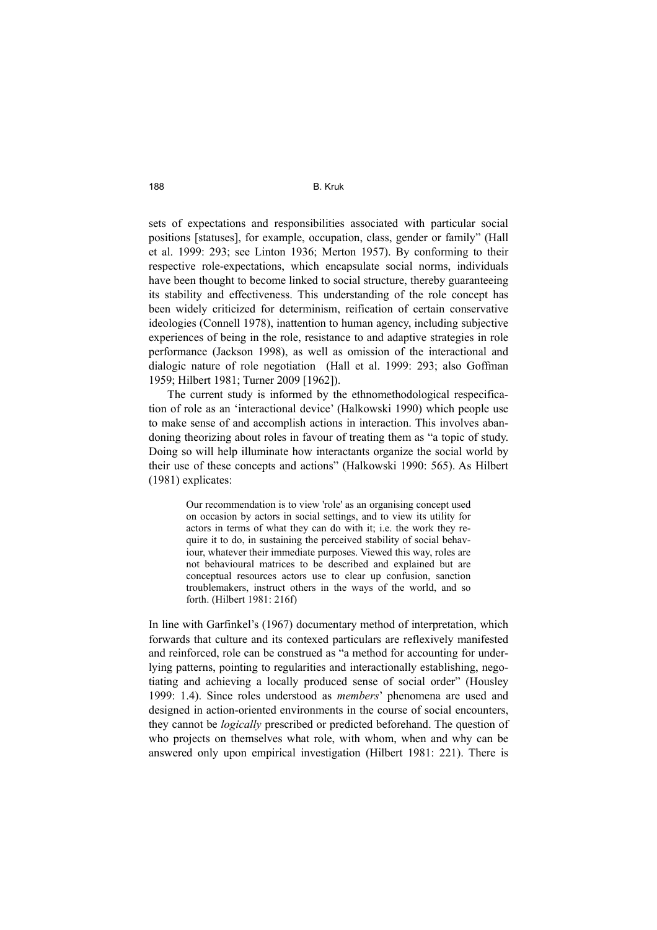sets of expectations and responsibilities associated with particular social positions [statuses], for example, occupation, class, gender or family" (Hall et al. 1999: 293; see Linton 1936; Merton 1957). By conforming to their respective role-expectations, which encapsulate social norms, individuals have been thought to become linked to social structure, thereby guaranteeing its stability and effectiveness. This understanding of the role concept has been widely criticized for determinism, reification of certain conservative ideologies (Connell 1978), inattention to human agency, including subjective experiences of being in the role, resistance to and adaptive strategies in role performance (Jackson 1998), as well as omission of the interactional and dialogic nature of role negotiation (Hall et al. 1999: 293; also Goffman 1959; Hilbert 1981; Turner 2009 [1962]).

The current study is informed by the ethnomethodological respecification of role as an 'interactional device' (Halkowski 1990) which people use to make sense of and accomplish actions in interaction. This involves abandoning theorizing about roles in favour of treating them as "a topic of study. Doing so will help illuminate how interactants organize the social world by their use of these concepts and actions" (Halkowski 1990: 565). As Hilbert (1981) explicates:

> Our recommendation is to view 'role' as an organising concept used on occasion by actors in social settings, and to view its utility for actors in terms of what they can do with it; i.e. the work they require it to do, in sustaining the perceived stability of social behaviour, whatever their immediate purposes. Viewed this way, roles are not behavioural matrices to be described and explained but are conceptual resources actors use to clear up confusion, sanction troublemakers, instruct others in the ways of the world, and so forth. (Hilbert 1981: 216f)

In line with Garfinkel's (1967) documentary method of interpretation, which forwards that culture and its contexed particulars are reflexively manifested and reinforced, role can be construed as "a method for accounting for underlying patterns, pointing to regularities and interactionally establishing, negotiating and achieving a locally produced sense of social order" (Housley 1999: 1.4). Since roles understood as *members*' phenomena are used and designed in action-oriented environments in the course of social encounters, they cannot be *logically* prescribed or predicted beforehand. The question of who projects on themselves what role, with whom, when and why can be answered only upon empirical investigation (Hilbert 1981: 221). There is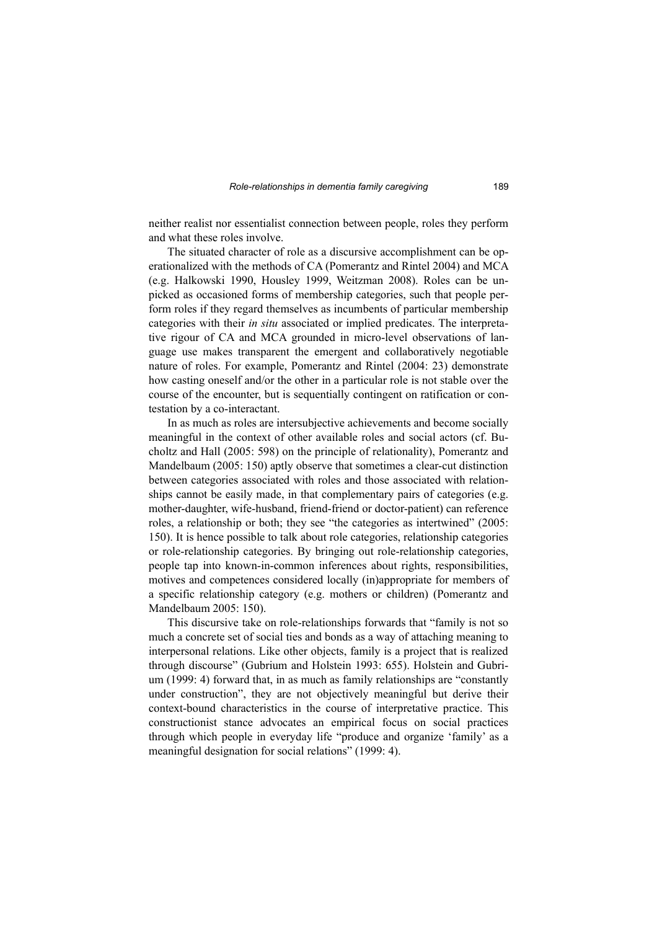neither realist nor essentialist connection between people, roles they perform and what these roles involve.

The situated character of role as a discursive accomplishment can be operationalized with the methods of CA (Pomerantz and Rintel 2004) and MCA (e.g. Halkowski 1990, Housley 1999, Weitzman 2008). Roles can be unpicked as occasioned forms of membership categories, such that people perform roles if they regard themselves as incumbents of particular membership categories with their *in situ* associated or implied predicates. The interpretative rigour of CA and MCA grounded in micro-level observations of language use makes transparent the emergent and collaboratively negotiable nature of roles. For example, Pomerantz and Rintel (2004: 23) demonstrate how casting oneself and/or the other in a particular role is not stable over the course of the encounter, but is sequentially contingent on ratification or contestation by a co-interactant.

In as much as roles are intersubjective achievements and become socially meaningful in the context of other available roles and social actors (cf. Bucholtz and Hall (2005: 598) on the principle of relationality), Pomerantz and Mandelbaum (2005: 150) aptly observe that sometimes a clear-cut distinction between categories associated with roles and those associated with relationships cannot be easily made, in that complementary pairs of categories (e.g. mother-daughter, wife-husband, friend-friend or doctor-patient) can reference roles, a relationship or both; they see "the categories as intertwined" (2005: 150). It is hence possible to talk about role categories, relationship categories or role-relationship categories. By bringing out role-relationship categories, people tap into known-in-common inferences about rights, responsibilities, motives and competences considered locally (in)appropriate for members of a specific relationship category (e.g. mothers or children) (Pomerantz and Mandelbaum 2005: 150).

This discursive take on role-relationships forwards that "family is not so much a concrete set of social ties and bonds as a way of attaching meaning to interpersonal relations. Like other objects, family is a project that is realized through discourse" (Gubrium and Holstein 1993: 655). Holstein and Gubrium (1999: 4) forward that, in as much as family relationships are "constantly under construction", they are not objectively meaningful but derive their context-bound characteristics in the course of interpretative practice. This constructionist stance advocates an empirical focus on social practices through which people in everyday life "produce and organize 'family' as a meaningful designation for social relations" (1999: 4).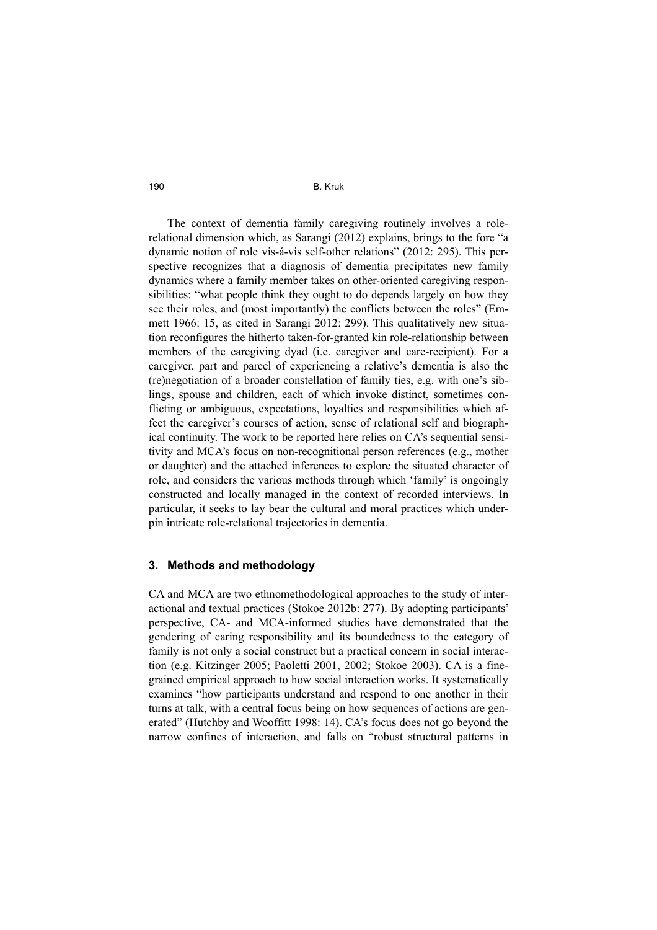The context of dementia family caregiving routinely involves a rolerelational dimension which, as Sarangi (2012) explains, brings to the fore "a dynamic notion of role vis-á-vis self-other relations" (2012: 295). This perspective recognizes that a diagnosis of dementia precipitates new family dynamics where a family member takes on other-oriented caregiving responsibilities: "what people think they ought to do depends largely on how they see their roles, and (most importantly) the conflicts between the roles" (Emmett 1966: 15, as cited in Sarangi 2012: 299). This qualitatively new situation reconfigures the hitherto taken-for-granted kin role-relationship between members of the caregiving dyad (i.e. caregiver and care-recipient). For a caregiver, part and parcel of experiencing a relative's dementia is also the (re)negotiation of a broader constellation of family ties, e.g. with one's siblings, spouse and children, each of which invoke distinct, sometimes conflicting or ambiguous, expectations, loyalties and responsibilities which affect the caregiver's courses of action, sense of relational self and biographical continuity. The work to be reported here relies on CA's sequential sensitivity and MCA's focus on non-recognitional person references (e.g., mother or daughter) and the attached inferences to explore the situated character of role, and considers the various methods through which 'family' is ongoingly constructed and locally managed in the context of recorded interviews. In particular, it seeks to lay bear the cultural and moral practices which underpin intricate role-relational trajectories in dementia.

#### **3. Methods and methodology**

CA and MCA are two ethnomethodological approaches to the study of interactional and textual practices (Stokoe 2012b: 277). By adopting participants' perspective, CA- and MCA-informed studies have demonstrated that the gendering of caring responsibility and its boundedness to the category of family is not only a social construct but a practical concern in social interaction (e.g. Kitzinger 2005; Paoletti 2001, 2002; Stokoe 2003). CA is a finegrained empirical approach to how social interaction works. It systematically examines "how participants understand and respond to one another in their turns at talk, with a central focus being on how sequences of actions are generated" (Hutchby and Wooffitt 1998: 14). CA's focus does not go beyond the narrow confines of interaction, and falls on "robust structural patterns in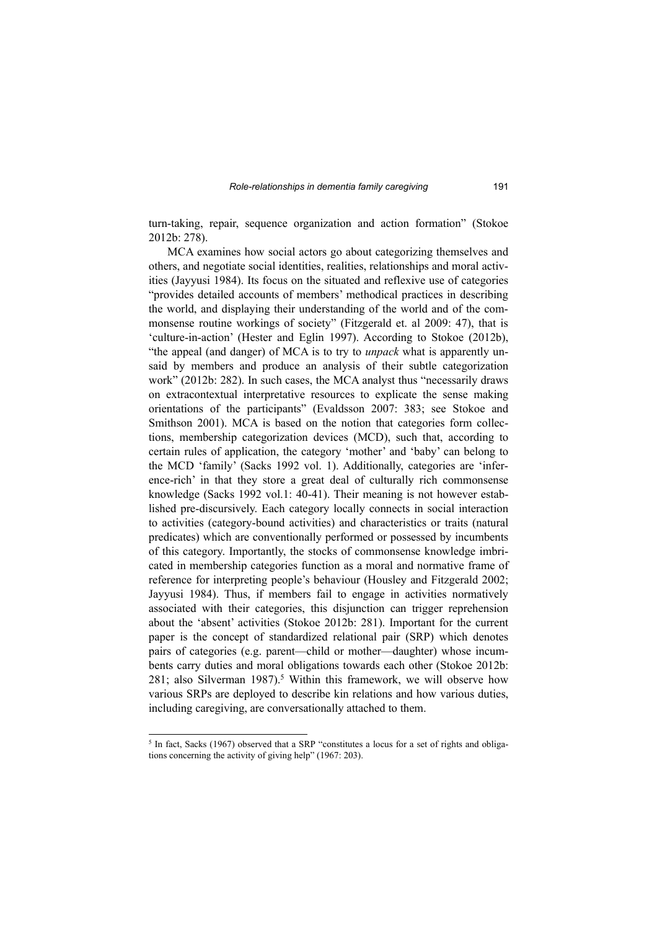turn-taking, repair, sequence organization and action formation" (Stokoe 2012b: 278).

MCA examines how social actors go about categorizing themselves and others, and negotiate social identities, realities, relationships and moral activities (Jayyusi 1984). Its focus on the situated and reflexive use of categories "provides detailed accounts of members' methodical practices in describing the world, and displaying their understanding of the world and of the commonsense routine workings of society" (Fitzgerald et. al 2009: 47), that is 'culture-in-action' (Hester and Eglin 1997). According to Stokoe (2012b), "the appeal (and danger) of MCA is to try to *unpack* what is apparently unsaid by members and produce an analysis of their subtle categorization work" (2012b: 282). In such cases, the MCA analyst thus "necessarily draws on extracontextual interpretative resources to explicate the sense making orientations of the participants" (Evaldsson 2007: 383; see Stokoe and Smithson 2001). MCA is based on the notion that categories form collections, membership categorization devices (MCD), such that, according to certain rules of application, the category 'mother' and 'baby' can belong to the MCD 'family' (Sacks 1992 vol. 1). Additionally, categories are 'inference-rich' in that they store a great deal of culturally rich commonsense knowledge (Sacks 1992 vol.1: 40-41). Their meaning is not however established pre-discursively. Each category locally connects in social interaction to activities (category-bound activities) and characteristics or traits (natural predicates) which are conventionally performed or possessed by incumbents of this category. Importantly, the stocks of commonsense knowledge imbricated in membership categories function as a moral and normative frame of reference for interpreting people's behaviour (Housley and Fitzgerald 2002; Jayyusi 1984). Thus, if members fail to engage in activities normatively associated with their categories, this disjunction can trigger reprehension about the 'absent' activities (Stokoe 2012b: 281). Important for the current paper is the concept of standardized relational pair (SRP) which denotes pairs of categories (e.g. parent—child or mother—daughter) whose incumbents carry duties and moral obligations towards each other (Stokoe 2012b: 281; also Silverman 1987).<sup>5</sup> Within this framework, we will observe how various SRPs are deployed to describe kin relations and how various duties, including caregiving, are conversationally attached to them.

<sup>&</sup>lt;sup>5</sup> In fact, Sacks (1967) observed that a SRP "constitutes a locus for a set of rights and obligations concerning the activity of giving help" (1967: 203).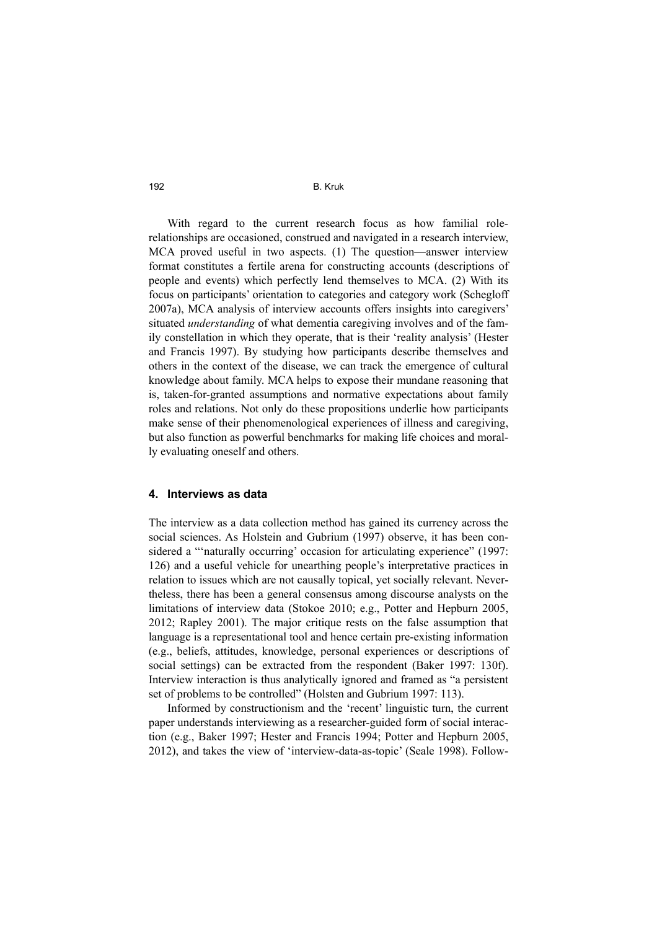With regard to the current research focus as how familial rolerelationships are occasioned, construed and navigated in a research interview, MCA proved useful in two aspects. (1) The question—answer interview format constitutes a fertile arena for constructing accounts (descriptions of people and events) which perfectly lend themselves to MCA. (2) With its focus on participants' orientation to categories and category work (Schegloff 2007a), MCA analysis of interview accounts offers insights into caregivers' situated *understanding* of what dementia caregiving involves and of the family constellation in which they operate, that is their 'reality analysis' (Hester and Francis 1997). By studying how participants describe themselves and others in the context of the disease, we can track the emergence of cultural knowledge about family. MCA helps to expose their mundane reasoning that is, taken-for-granted assumptions and normative expectations about family roles and relations. Not only do these propositions underlie how participants make sense of their phenomenological experiences of illness and caregiving, but also function as powerful benchmarks for making life choices and morally evaluating oneself and others.

#### **4. Interviews as data**

The interview as a data collection method has gained its currency across the social sciences. As Holstein and Gubrium (1997) observe, it has been considered a "'naturally occurring' occasion for articulating experience" (1997: 126) and a useful vehicle for unearthing people's interpretative practices in relation to issues which are not causally topical, yet socially relevant. Nevertheless, there has been a general consensus among discourse analysts on the limitations of interview data (Stokoe 2010; e.g., Potter and Hepburn 2005, 2012; Rapley 2001). The major critique rests on the false assumption that language is a representational tool and hence certain pre-existing information (e.g., beliefs, attitudes, knowledge, personal experiences or descriptions of social settings) can be extracted from the respondent (Baker 1997: 130f). Interview interaction is thus analytically ignored and framed as "a persistent set of problems to be controlled" (Holsten and Gubrium 1997: 113).

Informed by constructionism and the 'recent' linguistic turn, the current paper understands interviewing as a researcher-guided form of social interaction (e.g., Baker 1997; Hester and Francis 1994; Potter and Hepburn 2005, 2012), and takes the view of 'interview-data-as-topic' (Seale 1998). Follow-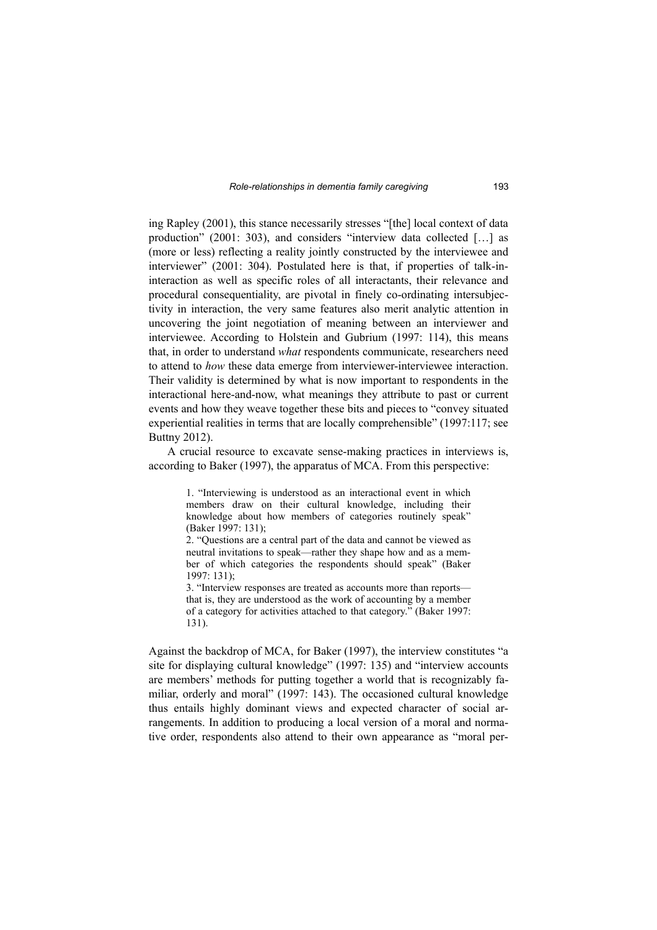ing Rapley (2001), this stance necessarily stresses "[the] local context of data production" (2001: 303), and considers "interview data collected […] as (more or less) reflecting a reality jointly constructed by the interviewee and interviewer" (2001: 304). Postulated here is that, if properties of talk-ininteraction as well as specific roles of all interactants, their relevance and procedural consequentiality, are pivotal in finely co-ordinating intersubjectivity in interaction, the very same features also merit analytic attention in uncovering the joint negotiation of meaning between an interviewer and interviewee. According to Holstein and Gubrium (1997: 114), this means that, in order to understand *what* respondents communicate, researchers need to attend to *how* these data emerge from interviewer-interviewee interaction. Their validity is determined by what is now important to respondents in the interactional here-and-now, what meanings they attribute to past or current events and how they weave together these bits and pieces to "convey situated experiential realities in terms that are locally comprehensible" (1997:117; see Buttny 2012).

A crucial resource to excavate sense-making practices in interviews is, according to Baker (1997), the apparatus of MCA. From this perspective:

> 1. "Interviewing is understood as an interactional event in which members draw on their cultural knowledge, including their knowledge about how members of categories routinely speak" (Baker 1997: 131);

> 2. "Questions are a central part of the data and cannot be viewed as neutral invitations to speak—rather they shape how and as a member of which categories the respondents should speak" (Baker 1997: 131);

> 3. "Interview responses are treated as accounts more than reports that is, they are understood as the work of accounting by a member of a category for activities attached to that category." (Baker 1997: 131).

Against the backdrop of MCA, for Baker (1997), the interview constitutes "a site for displaying cultural knowledge" (1997: 135) and "interview accounts are members' methods for putting together a world that is recognizably familiar, orderly and moral" (1997: 143). The occasioned cultural knowledge thus entails highly dominant views and expected character of social arrangements. In addition to producing a local version of a moral and normative order, respondents also attend to their own appearance as "moral per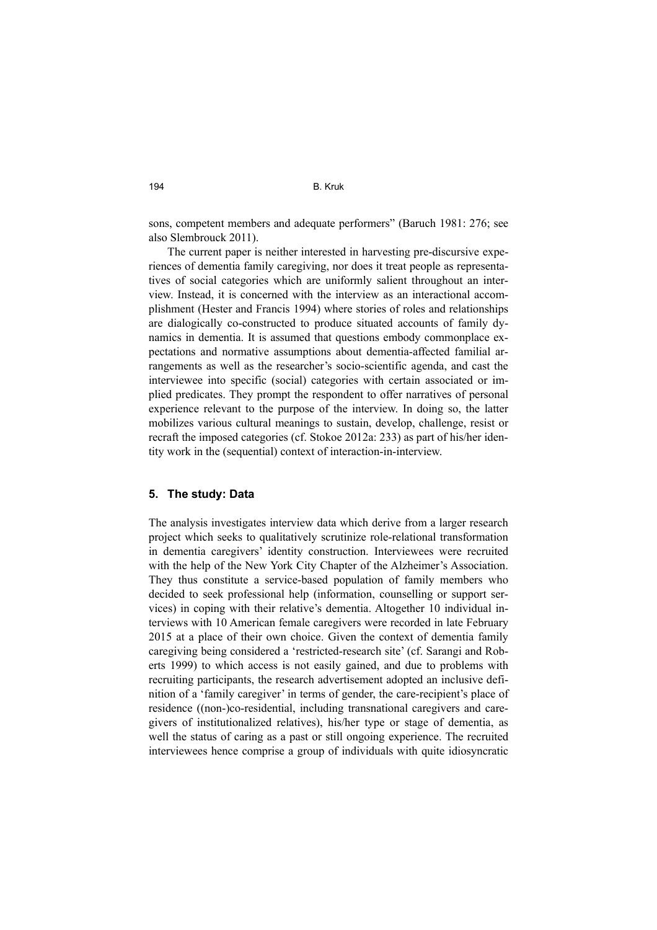sons, competent members and adequate performers" (Baruch 1981: 276; see also Slembrouck 2011).

The current paper is neither interested in harvesting pre-discursive experiences of dementia family caregiving, nor does it treat people as representatives of social categories which are uniformly salient throughout an interview. Instead, it is concerned with the interview as an interactional accomplishment (Hester and Francis 1994) where stories of roles and relationships are dialogically co-constructed to produce situated accounts of family dynamics in dementia. It is assumed that questions embody commonplace expectations and normative assumptions about dementia-affected familial arrangements as well as the researcher's socio-scientific agenda, and cast the interviewee into specific (social) categories with certain associated or implied predicates. They prompt the respondent to offer narratives of personal experience relevant to the purpose of the interview. In doing so, the latter mobilizes various cultural meanings to sustain, develop, challenge, resist or recraft the imposed categories (cf. Stokoe 2012a: 233) as part of his/her identity work in the (sequential) context of interaction-in-interview.

#### **5. The study: Data**

The analysis investigates interview data which derive from a larger research project which seeks to qualitatively scrutinize role-relational transformation in dementia caregivers' identity construction. Interviewees were recruited with the help of the New York City Chapter of the Alzheimer's Association. They thus constitute a service-based population of family members who decided to seek professional help (information, counselling or support services) in coping with their relative's dementia. Altogether 10 individual interviews with 10 American female caregivers were recorded in late February 2015 at a place of their own choice. Given the context of dementia family caregiving being considered a 'restricted-research site' (cf. Sarangi and Roberts 1999) to which access is not easily gained, and due to problems with recruiting participants, the research advertisement adopted an inclusive definition of a 'family caregiver' in terms of gender, the care-recipient's place of residence ((non-)co-residential, including transnational caregivers and caregivers of institutionalized relatives), his/her type or stage of dementia, as well the status of caring as a past or still ongoing experience. The recruited interviewees hence comprise a group of individuals with quite idiosyncratic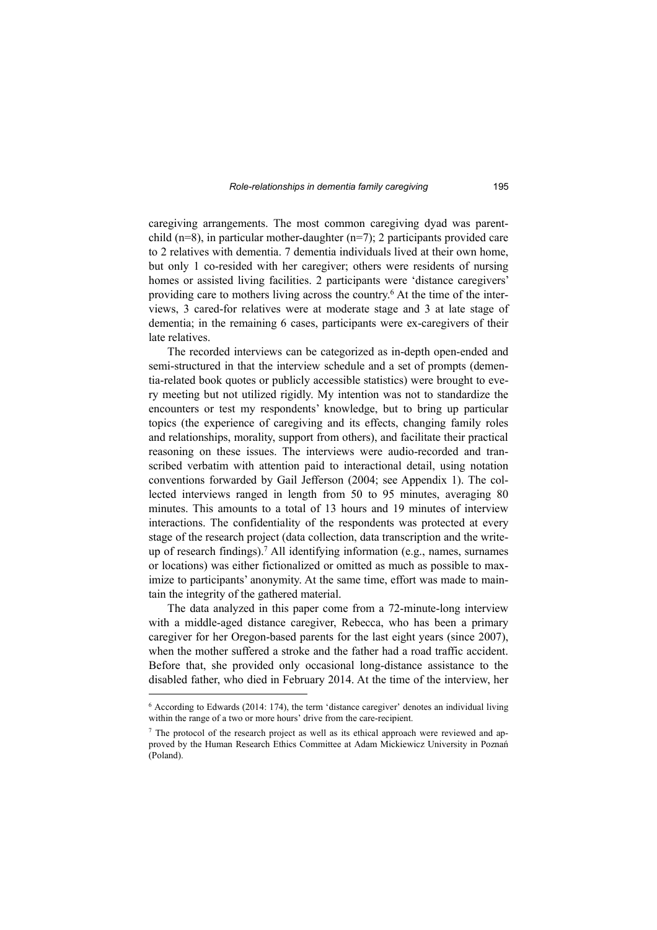caregiving arrangements. The most common caregiving dyad was parentchild (n=8), in particular mother-daughter (n=7); 2 participants provided care to 2 relatives with dementia. 7 dementia individuals lived at their own home, but only 1 co-resided with her caregiver; others were residents of nursing homes or assisted living facilities. 2 participants were 'distance caregivers' providing care to mothers living across the country. 6 At the time of the interviews, 3 cared-for relatives were at moderate stage and 3 at late stage of dementia; in the remaining 6 cases, participants were ex-caregivers of their late relatives.

The recorded interviews can be categorized as in-depth open-ended and semi-structured in that the interview schedule and a set of prompts (dementia-related book quotes or publicly accessible statistics) were brought to every meeting but not utilized rigidly. My intention was not to standardize the encounters or test my respondents' knowledge, but to bring up particular topics (the experience of caregiving and its effects, changing family roles and relationships, morality, support from others), and facilitate their practical reasoning on these issues. The interviews were audio-recorded and transcribed verbatim with attention paid to interactional detail, using notation conventions forwarded by Gail Jefferson (2004; see Appendix 1). The collected interviews ranged in length from 50 to 95 minutes, averaging 80 minutes. This amounts to a total of 13 hours and 19 minutes of interview interactions. The confidentiality of the respondents was protected at every stage of the research project (data collection, data transcription and the writeup of research findings).<sup>7</sup> All identifying information (e.g., names, surnames or locations) was either fictionalized or omitted as much as possible to maximize to participants' anonymity. At the same time, effort was made to maintain the integrity of the gathered material.

The data analyzed in this paper come from a 72-minute-long interview with a middle-aged distance caregiver, Rebecca, who has been a primary caregiver for her Oregon-based parents for the last eight years (since 2007), when the mother suffered a stroke and the father had a road traffic accident. Before that, she provided only occasional long-distance assistance to the disabled father, who died in February 2014. At the time of the interview, her

<sup>6</sup> According to Edwards (2014: 174), the term 'distance caregiver' denotes an individual living within the range of a two or more hours' drive from the care-recipient.

<sup>&</sup>lt;sup>7</sup> The protocol of the research project as well as its ethical approach were reviewed and approved by the Human Research Ethics Committee at Adam Mickiewicz University in Poznań (Poland).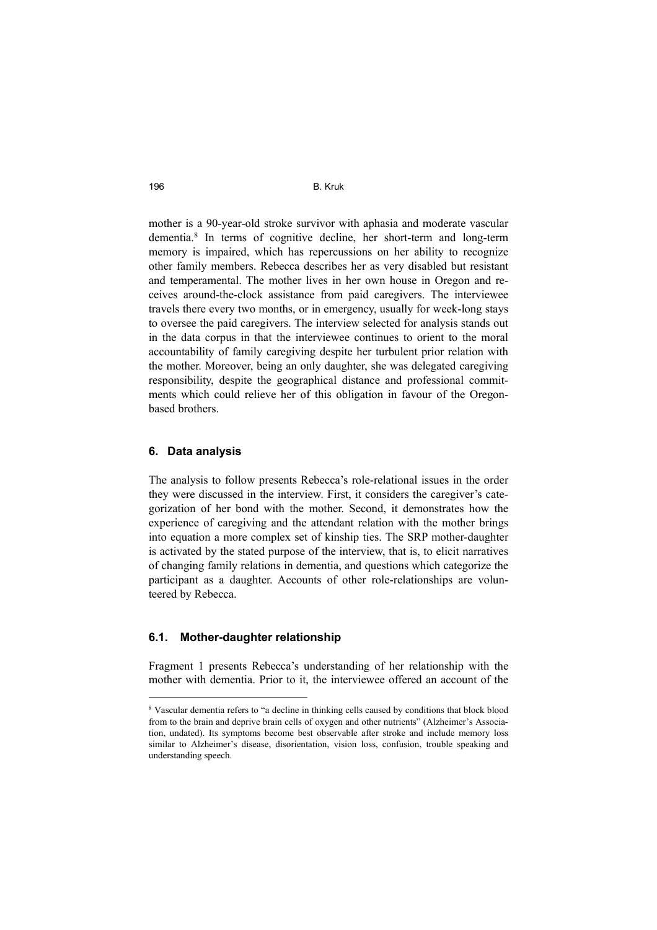mother is a 90-year-old stroke survivor with aphasia and moderate vascular dementia.<sup>8</sup> In terms of cognitive decline, her short-term and long-term memory is impaired, which has repercussions on her ability to recognize other family members. Rebecca describes her as very disabled but resistant and temperamental. The mother lives in her own house in Oregon and receives around-the-clock assistance from paid caregivers. The interviewee travels there every two months, or in emergency, usually for week-long stays to oversee the paid caregivers. The interview selected for analysis stands out in the data corpus in that the interviewee continues to orient to the moral accountability of family caregiving despite her turbulent prior relation with the mother. Moreover, being an only daughter, she was delegated caregiving responsibility, despite the geographical distance and professional commitments which could relieve her of this obligation in favour of the Oregonbased brothers.

## **6. Data analysis**

The analysis to follow presents Rebecca's role-relational issues in the order they were discussed in the interview. First, it considers the caregiver's categorization of her bond with the mother. Second, it demonstrates how the experience of caregiving and the attendant relation with the mother brings into equation a more complex set of kinship ties. The SRP mother-daughter is activated by the stated purpose of the interview, that is, to elicit narratives of changing family relations in dementia, and questions which categorize the participant as a daughter. Accounts of other role-relationships are volunteered by Rebecca.

## **6.1. Mother-daughter relationship**

Fragment 1 presents Rebecca's understanding of her relationship with the mother with dementia. Prior to it, the interviewee offered an account of the

<sup>8</sup> Vascular dementia refers to "a decline in thinking cells caused by conditions that block blood from to the brain and deprive brain cells of oxygen and other nutrients" (Alzheimer's Association, undated). Its symptoms become best observable after stroke and include memory loss similar to Alzheimer's disease, disorientation, vision loss, confusion, trouble speaking and understanding speech.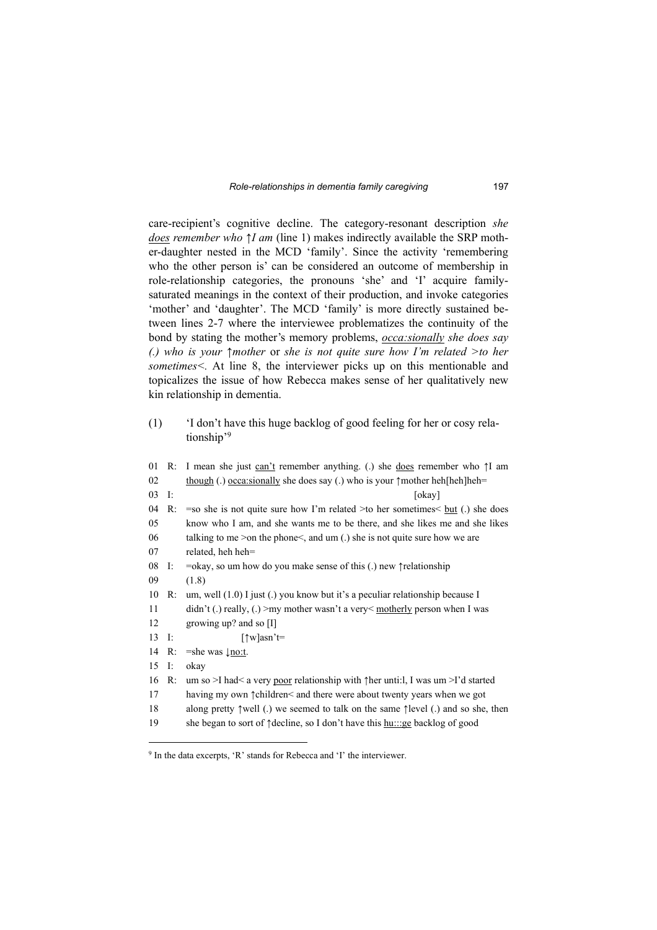care-recipient's cognitive decline. The category-resonant description *she does remember who ↑I am* (line 1) makes indirectly available the SRP mother-daughter nested in the MCD 'family'. Since the activity 'remembering who the other person is' can be considered an outcome of membership in role-relationship categories, the pronouns 'she' and 'I' acquire familysaturated meanings in the context of their production, and invoke categories 'mother' and 'daughter'. The MCD 'family' is more directly sustained between lines 2-7 where the interviewee problematizes the continuity of the bond by stating the mother's memory problems, *occa:sionally she does say (.) who is your ↑mother* or *she is not quite sure how I'm related >to her sometimes<.* At line 8, the interviewer picks up on this mentionable and topicalizes the issue of how Rebecca makes sense of her qualitatively new kin relationship in dementia.

(1) 'I don't have this huge backlog of good feeling for her or cosy relationship'<sup>9</sup>

|                      |    | 01 R: I mean she just can't remember anything. (.) she does remember who $\uparrow$ I am             |  |
|----------------------|----|------------------------------------------------------------------------------------------------------|--|
| 02                   |    | though (.) occassionally she does say (.) who is your $\uparrow$ mother heh[heh]heh=                 |  |
| $03$ I:              |    | [okay]                                                                                               |  |
| 04                   | R: | $\equiv$ so she is not quite sure how I'm related >to her sometimes $\lt$ but (.) she does           |  |
| 05                   |    | know who I am, and she wants me to be there, and she likes me and she likes                          |  |
| 06                   |    | talking to me > on the phone $\leq$ , and um (.) she is not quite sure how we are                    |  |
| 07                   |    | related, heh heh=                                                                                    |  |
| 08                   | I: | $=$ okay, so um how do you make sense of this (.) new $\uparrow$ relationship                        |  |
| 09                   |    | (1.8)                                                                                                |  |
| 10                   | R: | um, well $(1.0)$ I just $(.)$ you know but it's a peculiar relationship because I                    |  |
| 11                   |    | $\text{d}$ idn't (.) really, (.) > my mother wasn't a very $\leq$ motherly person when I was         |  |
| 12                   |    | growing up? and so $[I]$                                                                             |  |
| $13 \quad \text{I}:$ |    | $\lceil \uparrow w \rceil$ asn't=                                                                    |  |
| 14                   | R: | $=$ she was $\lfloor$ no:t.                                                                          |  |
| 15                   | I: | okay                                                                                                 |  |
| 16                   | R: | um so >I had< a very poor relationship with $\uparrow$ her unti: I, I was um >I'd started            |  |
| 17                   |    | having my own $\uparrow$ children< and there were about twenty years when we got                     |  |
| 18                   |    | along pretty $\uparrow$ well (.) we seemed to talk on the same $\uparrow$ level (.) and so she, then |  |
| 19                   |    | she began to sort of 1 decline, so I don't have this humner backlog of good                          |  |
|                      |    |                                                                                                      |  |

<sup>&</sup>lt;sup>9</sup> In the data excerpts, 'R' stands for Rebecca and 'I' the interviewer.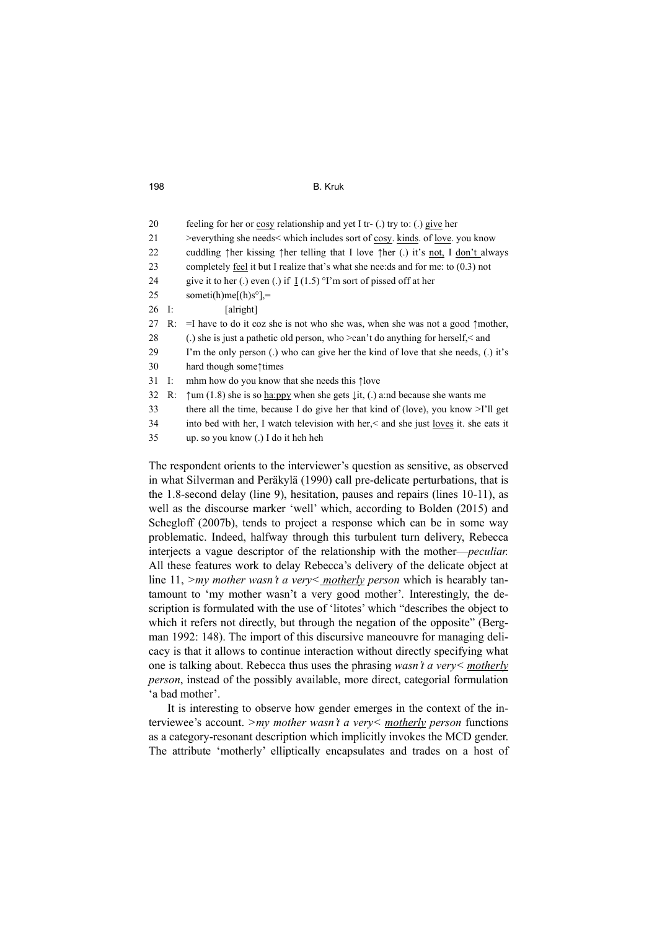| 20    |    | feeling for her or cosy relationship and yet I tr- (.) try to: (.) give her                                    |  |
|-------|----|----------------------------------------------------------------------------------------------------------------|--|
| 21    |    | >everything she needs< which includes sort of cosy. kinds. of love. you know                                   |  |
| 22    |    | cuddling $\uparrow$ her kissing $\uparrow$ her telling that I love $\uparrow$ her (.) it's not, I don't always |  |
| 23    |    | completely feel it but I realize that's what she needs and for me: to $(0.3)$ not                              |  |
| 24    |    | give it to her (.) even (.) if $I(1.5)$ <sup>o</sup> I'm sort of pissed off at her                             |  |
| 25    |    | someti(h)me[(h)s°],=                                                                                           |  |
| 26 I: |    | [alright]                                                                                                      |  |
| 27    | R: | $=$ I have to do it coz she is not who she was, when she was not a good $\uparrow$ mother,                     |  |
| 28    |    | (.) she is just a pathetic old person, who $>$ can't do anything for herself, $<$ and                          |  |
| 29    |    | I'm the only person (.) who can give her the kind of love that she needs, (.) it's                             |  |
| 30    |    | hard though some times                                                                                         |  |
| 31    | I: | mhm how do you know that she needs this flove                                                                  |  |
| 32    | R: | $\uparrow$ um (1.8) she is so <u>ha:ppy</u> when she gets $\downarrow$ it, (.) a:nd because she wants me       |  |
| 33    |    | there all the time, because I do give her that kind of (love), you know $\geq$ I'll get                        |  |
| 34    |    | into bed with her, I watch television with her, < and she just <u>loves</u> it. she eats it                    |  |
| 35    |    | up. so you know (.) I do it heh heh                                                                            |  |

The respondent orients to the interviewer's question as sensitive, as observed in what Silverman and Peräkylä (1990) call pre-delicate perturbations, that is the 1.8-second delay (line 9), hesitation, pauses and repairs (lines 10-11), as well as the discourse marker 'well' which, according to Bolden (2015) and Schegloff (2007b), tends to project a response which can be in some way problematic. Indeed, halfway through this turbulent turn delivery, Rebecca interjects a vague descriptor of the relationship with the mother—*peculiar.* All these features work to delay Rebecca's delivery of the delicate object at line 11, *>my mother wasn't a very< motherly person* which is hearably tantamount to 'my mother wasn't a very good mother'*.* Interestingly, the description is formulated with the use of 'litotes' which "describes the object to which it refers not directly, but through the negation of the opposite" (Bergman 1992: 148). The import of this discursive maneouvre for managing delicacy is that it allows to continue interaction without directly specifying what one is talking about. Rebecca thus uses the phrasing *wasn't a very< motherly person*, instead of the possibly available, more direct, categorial formulation 'a bad mother'.

It is interesting to observe how gender emerges in the context of the interviewee's account. *>my mother wasn't a very< motherly person* functions as a category-resonant description which implicitly invokes the MCD gender. The attribute 'motherly' elliptically encapsulates and trades on a host of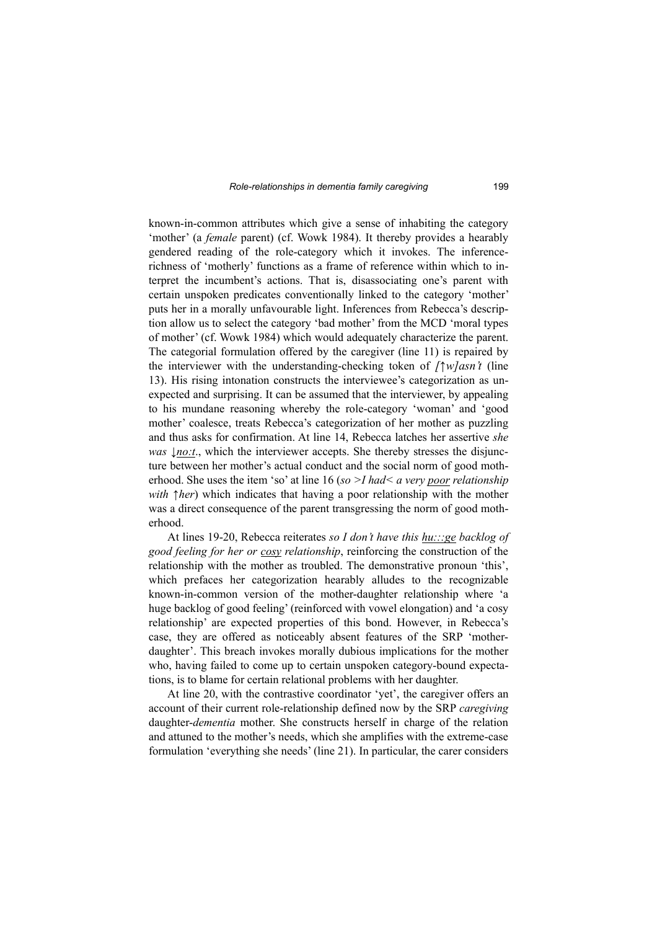known-in-common attributes which give a sense of inhabiting the category 'mother' (a *female* parent) (cf. Wowk 1984). It thereby provides a hearably gendered reading of the role-category which it invokes. The inferencerichness of 'motherly' functions as a frame of reference within which to interpret the incumbent's actions. That is, disassociating one's parent with certain unspoken predicates conventionally linked to the category 'mother' puts her in a morally unfavourable light. Inferences from Rebecca's description allow us to select the category 'bad mother' from the MCD 'moral types of mother' (cf. Wowk 1984) which would adequately characterize the parent. The categorial formulation offered by the caregiver (line 11) is repaired by the interviewer with the understanding-checking token of *[*↑*w]asn't* (line 13). His rising intonation constructs the interviewee's categorization as unexpected and surprising. It can be assumed that the interviewer, by appealing to his mundane reasoning whereby the role-category 'woman' and 'good mother' coalesce, treats Rebecca's categorization of her mother as puzzling and thus asks for confirmation. At line 14, Rebecca latches her assertive *she was*  $\mu$ *no:t.*, which the interviewer accepts. She thereby stresses the disjuncture between her mother's actual conduct and the social norm of good motherhood. She uses the item 'so' at line 16 (*so >I had< a very poor relationship with* ↑*her*) which indicates that having a poor relationship with the mother was a direct consequence of the parent transgressing the norm of good motherhood.

At lines 19-20, Rebecca reiterates *so I don't have this hu:::ge backlog of good feeling for her or cosy relationship*, reinforcing the construction of the relationship with the mother as troubled. The demonstrative pronoun 'this', which prefaces her categorization hearably alludes to the recognizable known-in-common version of the mother-daughter relationship where 'a huge backlog of good feeling' (reinforced with vowel elongation) and 'a cosy relationship' are expected properties of this bond. However, in Rebecca's case, they are offered as noticeably absent features of the SRP 'motherdaughter'. This breach invokes morally dubious implications for the mother who, having failed to come up to certain unspoken category-bound expectations, is to blame for certain relational problems with her daughter.

At line 20, with the contrastive coordinator 'yet', the caregiver offers an account of their current role-relationship defined now by the SRP *caregiving* daughter-*dementia* mother. She constructs herself in charge of the relation and attuned to the mother's needs, which she amplifies with the extreme-case formulation 'everything she needs' (line 21). In particular, the carer considers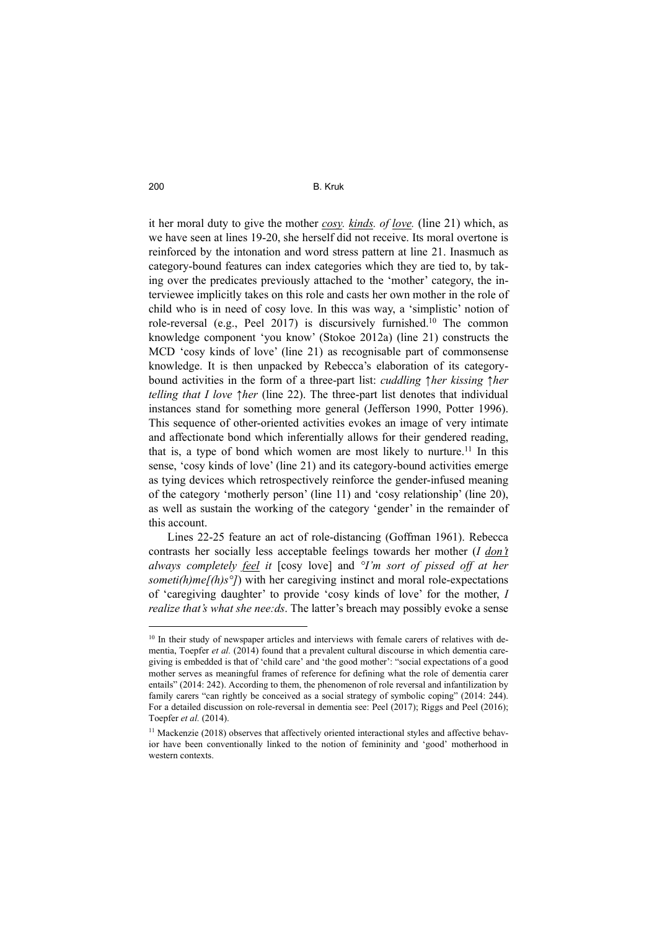it her moral duty to give the mother *cosy. kinds. of love.* (line 21) which, as we have seen at lines 19-20, she herself did not receive. Its moral overtone is reinforced by the intonation and word stress pattern at line 21. Inasmuch as category-bound features can index categories which they are tied to, by taking over the predicates previously attached to the 'mother' category, the interviewee implicitly takes on this role and casts her own mother in the role of child who is in need of cosy love. In this was way, a 'simplistic' notion of role-reversal (e.g., Peel 2017) is discursively furnished.<sup>10</sup> The common knowledge component 'you know' (Stokoe 2012a) (line 21) constructs the MCD 'cosy kinds of love' (line 21) as recognisable part of commonsense knowledge. It is then unpacked by Rebecca's elaboration of its categorybound activities in the form of a three-part list: *cuddling ↑her kissing ↑her telling that I love ↑her* (line 22). The three-part list denotes that individual instances stand for something more general (Jefferson 1990, Potter 1996). This sequence of other-oriented activities evokes an image of very intimate and affectionate bond which inferentially allows for their gendered reading, that is, a type of bond which women are most likely to nurture.<sup>11</sup> In this sense, 'cosy kinds of love' (line 21) and its category-bound activities emerge as tying devices which retrospectively reinforce the gender-infused meaning of the category 'motherly person' (line 11) and 'cosy relationship' (line 20), as well as sustain the working of the category 'gender' in the remainder of this account.

Lines 22-25 feature an act of role-distancing (Goffman 1961). Rebecca contrasts her socially less acceptable feelings towards her mother (*I don't always completely feel it* [cosy love] and *°I'm sort of pissed off at her someti(h)me[(h)s<sup>o</sup>]*) with her caregiving instinct and moral role-expectations of 'caregiving daughter' to provide 'cosy kinds of love' for the mother, *I realize that's what she nee:ds*. The latter's breach may possibly evoke a sense

 $10$  In their study of newspaper articles and interviews with female carers of relatives with dementia, Toepfer *et al.* (2014) found that a prevalent cultural discourse in which dementia caregiving is embedded is that of 'child care' and 'the good mother': "social expectations of a good mother serves as meaningful frames of reference for defining what the role of dementia carer entails" (2014: 242). According to them, the phenomenon of role reversal and infantilization by family carers "can rightly be conceived as a social strategy of symbolic coping" (2014: 244). For a detailed discussion on role-reversal in dementia see: Peel (2017); Riggs and Peel (2016); Toepfer *et al.* (2014).

 $11$  Mackenzie (2018) observes that affectively oriented interactional styles and affective behavior have been conventionally linked to the notion of femininity and 'good' motherhood in western contexts.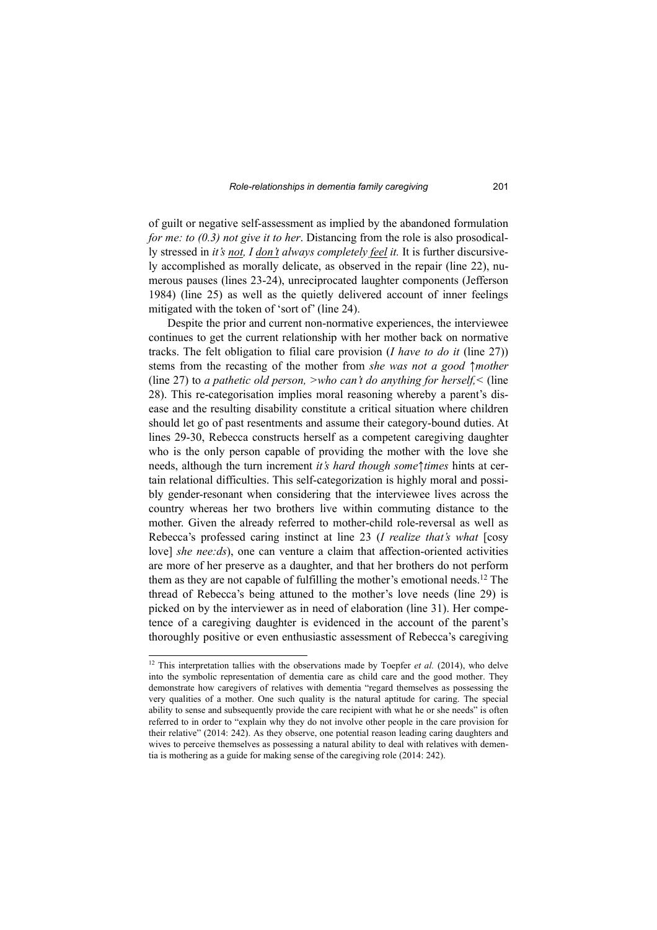of guilt or negative self-assessment as implied by the abandoned formulation *for me: to (0.3) not give it to her.* Distancing from the role is also prosodically stressed in *it's not, I don't always completely feel it.* It is further discursively accomplished as morally delicate, as observed in the repair (line 22), numerous pauses (lines 23-24), unreciprocated laughter components (Jefferson 1984) (line 25) as well as the quietly delivered account of inner feelings mitigated with the token of 'sort of' (line 24).

Despite the prior and current non-normative experiences, the interviewee continues to get the current relationship with her mother back on normative tracks. The felt obligation to filial care provision (*I have to do it* (line 27)) stems from the recasting of the mother from *she was not a good* ↑*mother* (line 27) to *a pathetic old person, >who can't do anything for herself,<* (line 28). This re-categorisation implies moral reasoning whereby a parent's disease and the resulting disability constitute a critical situation where children should let go of past resentments and assume their category-bound duties. At lines 29-30, Rebecca constructs herself as a competent caregiving daughter who is the only person capable of providing the mother with the love she needs, although the turn increment *it's hard though some*↑*times* hints at certain relational difficulties. This self-categorization is highly moral and possibly gender-resonant when considering that the interviewee lives across the country whereas her two brothers live within commuting distance to the mother. Given the already referred to mother-child role-reversal as well as Rebecca's professed caring instinct at line 23 (*I realize that's what* [cosy love] *she nee:ds*), one can venture a claim that affection-oriented activities are more of her preserve as a daughter, and that her brothers do not perform them as they are not capable of fulfilling the mother's emotional needs.<sup>12</sup> The thread of Rebecca's being attuned to the mother's love needs (line 29) is picked on by the interviewer as in need of elaboration (line 31). Her competence of a caregiving daughter is evidenced in the account of the parent's thoroughly positive or even enthusiastic assessment of Rebecca's caregiving

<sup>&</sup>lt;sup>12</sup> This interpretation tallies with the observations made by Toepfer *et al.* (2014), who delve into the symbolic representation of dementia care as child care and the good mother. They demonstrate how caregivers of relatives with dementia "regard themselves as possessing the very qualities of a mother. One such quality is the natural aptitude for caring. The special ability to sense and subsequently provide the care recipient with what he or she needs" is often referred to in order to "explain why they do not involve other people in the care provision for their relative" (2014: 242). As they observe, one potential reason leading caring daughters and wives to perceive themselves as possessing a natural ability to deal with relatives with dementia is mothering as a guide for making sense of the caregiving role (2014: 242).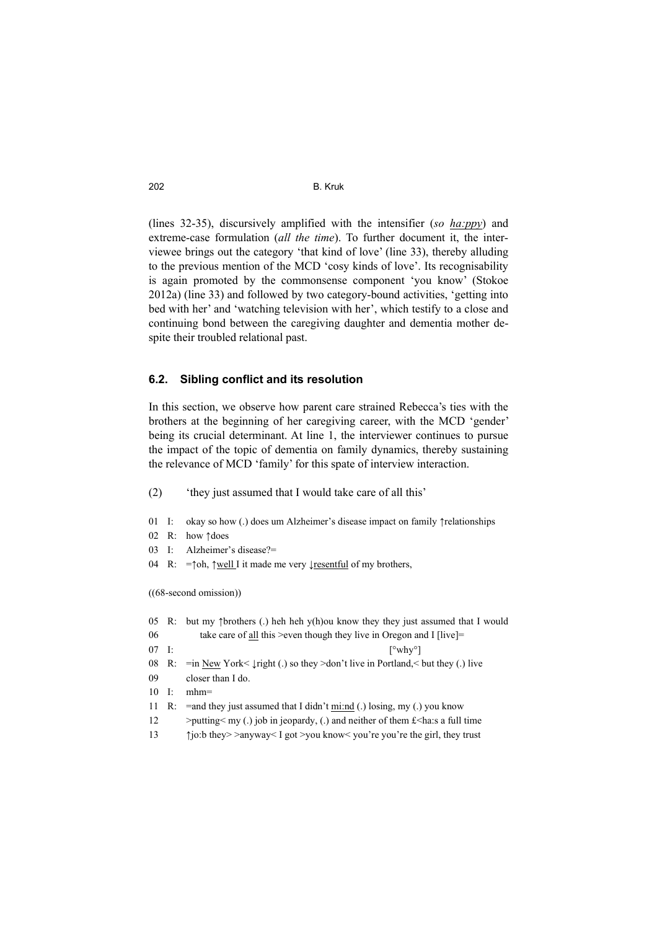(lines 32-35), discursively amplified with the intensifier (*so ha:ppy*) and extreme-case formulation (*all the time*). To further document it, the interviewee brings out the category 'that kind of love' (line 33), thereby alluding to the previous mention of the MCD 'cosy kinds of love'. Its recognisability is again promoted by the commonsense component 'you know' (Stokoe 2012a) (line 33) and followed by two category-bound activities, 'getting into bed with her' and 'watching television with her', which testify to a close and continuing bond between the caregiving daughter and dementia mother despite their troubled relational past.

## **6.2. Sibling conflict and its resolution**

In this section, we observe how parent care strained Rebecca's ties with the brothers at the beginning of her caregiving career, with the MCD 'gender' being its crucial determinant. At line 1, the interviewer continues to pursue the impact of the topic of dementia on family dynamics, thereby sustaining the relevance of MCD 'family' for this spate of interview interaction.

(2) 'they just assumed that I would take care of all this'

- 01 I: okay so how (.) does um Alzheimer's disease impact on family ↑relationships
- 02 R: how ↑does
- 03 I: Alzheimer's disease?=
- 04 R: =↑oh, ↑well I it made me very ↓resentful of my brothers,

((68-second omission))

|                      |                | 05 R: but my $\uparrow$ brothers (.) heh heh y(h) ou know they they just assumed that I would      |
|----------------------|----------------|----------------------------------------------------------------------------------------------------|
| 06                   |                | take care of all this > even though they live in Oregon and I [live] =                             |
| $07$ I:              |                | $\lceil^{\circ}whv^{\circ}\rceil$                                                                  |
|                      |                | 08 R: = in New York< $\lfloor$ right (.) so they >don't live in Portland, $\leq$ but they (.) live |
| 09                   |                | closer than I do.                                                                                  |
| $10 \quad \text{I}:$ |                | $mhm =$                                                                                            |
|                      | $11 \quad R$ : | $=$ and they just assumed that I didn't mi:nd (.) losing, my (.) you know                          |
| 12                   |                | $\ge$ putting $\le$ my (.) job in jeopardy, (.) and neither of them £ $\le$ ha:s a full time       |
| 13                   |                | $\uparrow$ io:b they>>anyway< I got >you know< you're you're the girl, they trust                  |
|                      |                |                                                                                                    |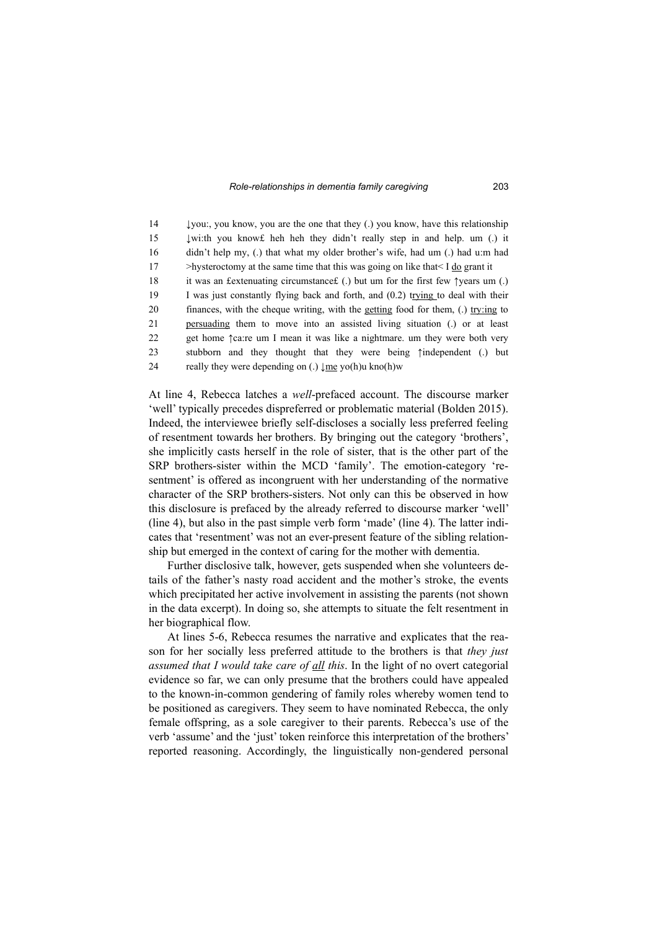14 ↓you:, you know, you are the one that they (.) you know, have this relationship 15 **↓wi:th you know£** heh heh they didn't really step in and help. um (.) it 16 didn't help my, (.) that what my older brother's wife, had um (.) had u:m had 17 >hysteroctomy at the same time that this was going on like that  $I \underline{do}$  grant it 18 it was an £extenuating circumstance  $f(.)$  but um for the first few ↑years um (.) 19 I was just constantly flying back and forth, and (0.2) trying to deal with their 20 finances, with the cheque writing, with the getting food for them, (.) try:ing to 21 persuading them to move into an assisted living situation (.) or at least 22 get home ↑ca:re um I mean it was like a nightmare. um they were both very 23 stubborn and they thought that they were being ↑independent (.) but 24 really they were depending on (.)  $\text{Im} \, \text{vol}(h)$ u kno $(h)$ w

At line 4, Rebecca latches a *well*-prefaced account. The discourse marker 'well' typically precedes dispreferred or problematic material (Bolden 2015). Indeed, the interviewee briefly self-discloses a socially less preferred feeling of resentment towards her brothers. By bringing out the category 'brothers', she implicitly casts herself in the role of sister, that is the other part of the SRP brothers-sister within the MCD 'family'. The emotion-category 'resentment' is offered as incongruent with her understanding of the normative character of the SRP brothers-sisters. Not only can this be observed in how this disclosure is prefaced by the already referred to discourse marker 'well' (line 4), but also in the past simple verb form 'made' (line 4). The latter indicates that 'resentment' was not an ever-present feature of the sibling relationship but emerged in the context of caring for the mother with dementia.

Further disclosive talk, however, gets suspended when she volunteers details of the father's nasty road accident and the mother's stroke, the events which precipitated her active involvement in assisting the parents (not shown in the data excerpt). In doing so, she attempts to situate the felt resentment in her biographical flow.

At lines 5-6, Rebecca resumes the narrative and explicates that the reason for her socially less preferred attitude to the brothers is that *they just assumed that I would take care of all this*. In the light of no overt categorial evidence so far, we can only presume that the brothers could have appealed to the known-in-common gendering of family roles whereby women tend to be positioned as caregivers. They seem to have nominated Rebecca, the only female offspring, as a sole caregiver to their parents. Rebecca's use of the verb 'assume' and the 'just' token reinforce this interpretation of the brothers' reported reasoning. Accordingly, the linguistically non-gendered personal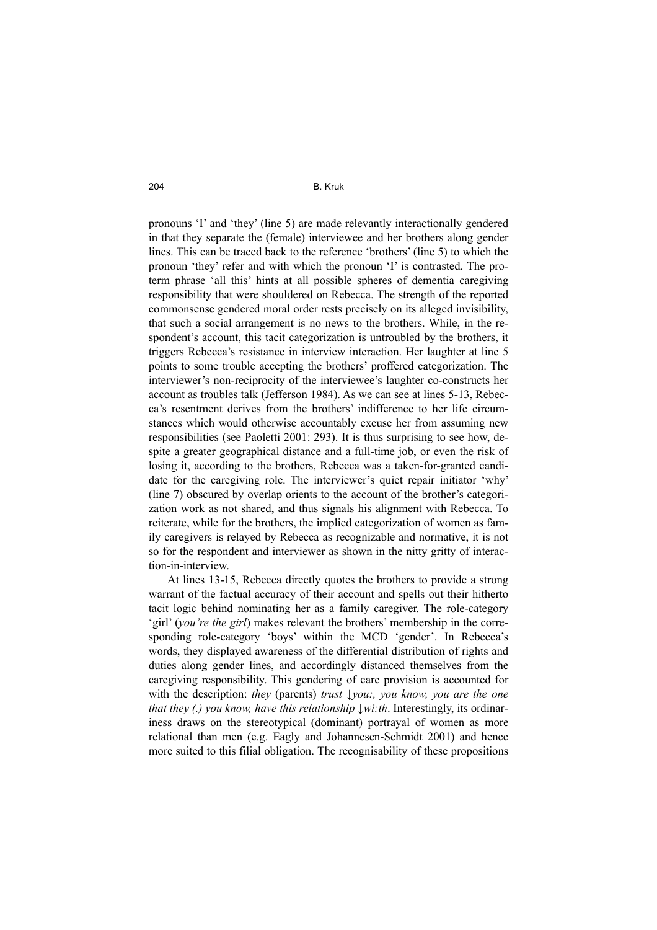pronouns 'I' and 'they' (line 5) are made relevantly interactionally gendered in that they separate the (female) interviewee and her brothers along gender lines. This can be traced back to the reference 'brothers' (line 5) to which the pronoun 'they' refer and with which the pronoun 'I' is contrasted. The proterm phrase 'all this' hints at all possible spheres of dementia caregiving responsibility that were shouldered on Rebecca. The strength of the reported commonsense gendered moral order rests precisely on its alleged invisibility, that such a social arrangement is no news to the brothers. While, in the respondent's account, this tacit categorization is untroubled by the brothers, it triggers Rebecca's resistance in interview interaction. Her laughter at line 5 points to some trouble accepting the brothers' proffered categorization. The interviewer's non-reciprocity of the interviewee's laughter co-constructs her account as troubles talk (Jefferson 1984). As we can see at lines 5-13, Rebecca's resentment derives from the brothers' indifference to her life circumstances which would otherwise accountably excuse her from assuming new responsibilities (see Paoletti 2001: 293). It is thus surprising to see how, despite a greater geographical distance and a full-time job, or even the risk of losing it, according to the brothers, Rebecca was a taken-for-granted candidate for the caregiving role. The interviewer's quiet repair initiator 'why' (line 7) obscured by overlap orients to the account of the brother's categorization work as not shared, and thus signals his alignment with Rebecca. To reiterate, while for the brothers, the implied categorization of women as family caregivers is relayed by Rebecca as recognizable and normative, it is not so for the respondent and interviewer as shown in the nitty gritty of interaction-in-interview.

At lines 13-15, Rebecca directly quotes the brothers to provide a strong warrant of the factual accuracy of their account and spells out their hitherto tacit logic behind nominating her as a family caregiver. The role-category 'girl' (*you're the girl*) makes relevant the brothers' membership in the corresponding role-category 'boys' within the MCD 'gender'. In Rebecca's words, they displayed awareness of the differential distribution of rights and duties along gender lines, and accordingly distanced themselves from the caregiving responsibility. This gendering of care provision is accounted for with the description: *they* (parents) *trust \vou:, you know, you are the one that they (.) you know, have this relationship ↓wi:th*. Interestingly, its ordinariness draws on the stereotypical (dominant) portrayal of women as more relational than men (e.g. Eagly and Johannesen-Schmidt 2001) and hence more suited to this filial obligation. The recognisability of these propositions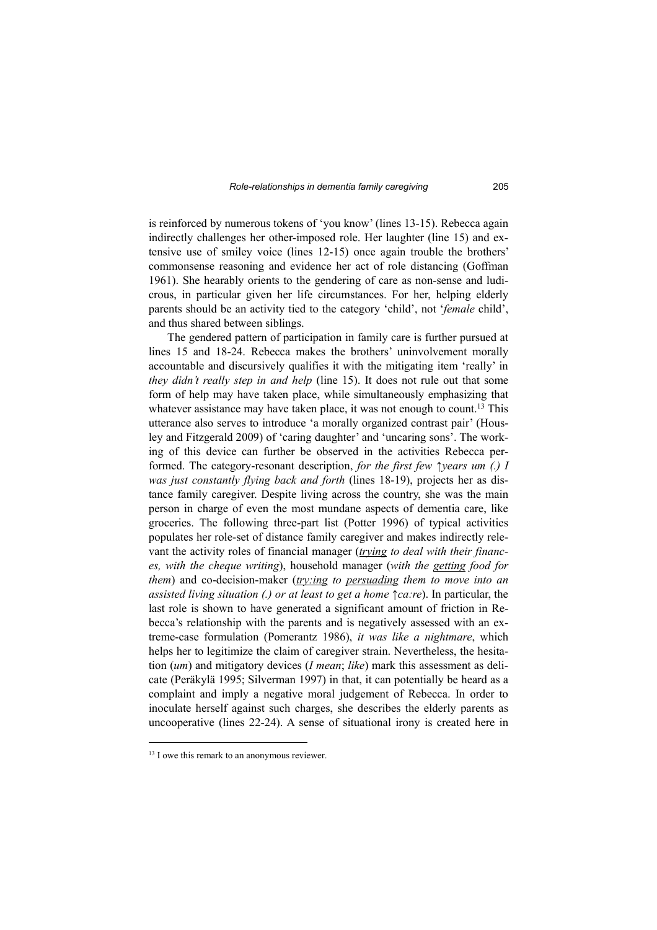is reinforced by numerous tokens of 'you know' (lines 13-15). Rebecca again indirectly challenges her other-imposed role. Her laughter (line 15) and extensive use of smiley voice (lines 12-15) once again trouble the brothers' commonsense reasoning and evidence her act of role distancing (Goffman 1961). She hearably orients to the gendering of care as non-sense and ludicrous, in particular given her life circumstances. For her, helping elderly parents should be an activity tied to the category 'child', not '*female* child', and thus shared between siblings.

The gendered pattern of participation in family care is further pursued at lines 15 and 18-24. Rebecca makes the brothers' uninvolvement morally accountable and discursively qualifies it with the mitigating item 'really' in *they didn't really step in and help* (line 15). It does not rule out that some form of help may have taken place, while simultaneously emphasizing that whatever assistance may have taken place, it was not enough to count.<sup>13</sup> This utterance also serves to introduce 'a morally organized contrast pair' (Housley and Fitzgerald 2009) of 'caring daughter' and 'uncaring sons'. The working of this device can further be observed in the activities Rebecca performed. The category-resonant description, *for the first few ↑years um (.) I was just constantly flying back and forth* (lines 18-19), projects her as distance family caregiver. Despite living across the country, she was the main person in charge of even the most mundane aspects of dementia care, like groceries. The following three-part list (Potter 1996) of typical activities populates her role-set of distance family caregiver and makes indirectly relevant the activity roles of financial manager (*trying to deal with their finances, with the cheque writing*), household manager (*with the getting food for them*) and co-decision-maker (*try:ing to persuading them to move into an assisted living situation (.) or at least to get a home ↑ca:re*). In particular, the last role is shown to have generated a significant amount of friction in Rebecca's relationship with the parents and is negatively assessed with an extreme-case formulation (Pomerantz 1986), *it was like a nightmare*, which helps her to legitimize the claim of caregiver strain. Nevertheless, the hesitation (*um*) and mitigatory devices (*I mean*; *like*) mark this assessment as delicate (Peräkylä 1995; Silverman 1997) in that, it can potentially be heard as a complaint and imply a negative moral judgement of Rebecca. In order to inoculate herself against such charges, she describes the elderly parents as uncooperative (lines 22-24). A sense of situational irony is created here in

<sup>&</sup>lt;sup>13</sup> I owe this remark to an anonymous reviewer.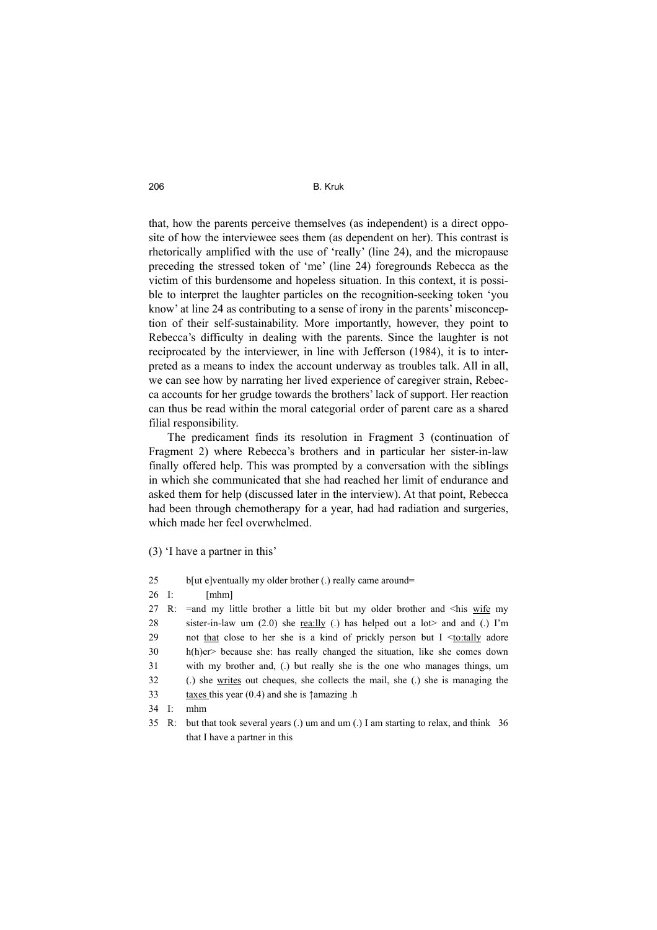that, how the parents perceive themselves (as independent) is a direct opposite of how the interviewee sees them (as dependent on her). This contrast is rhetorically amplified with the use of 'really' (line 24), and the micropause preceding the stressed token of 'me' (line 24) foregrounds Rebecca as the victim of this burdensome and hopeless situation. In this context, it is possible to interpret the laughter particles on the recognition-seeking token 'you know' at line 24 as contributing to a sense of irony in the parents' misconception of their self-sustainability. More importantly, however, they point to Rebecca's difficulty in dealing with the parents. Since the laughter is not reciprocated by the interviewer, in line with Jefferson (1984), it is to interpreted as a means to index the account underway as troubles talk. All in all, we can see how by narrating her lived experience of caregiver strain, Rebecca accounts for her grudge towards the brothers' lack of support. Her reaction can thus be read within the moral categorial order of parent care as a shared filial responsibility.

The predicament finds its resolution in Fragment 3 (continuation of Fragment 2) where Rebecca's brothers and in particular her sister-in-law finally offered help. This was prompted by a conversation with the siblings in which she communicated that she had reached her limit of endurance and asked them for help (discussed later in the interview). At that point, Rebecca had been through chemotherapy for a year, had had radiation and surgeries, which made her feel overwhelmed.

(3) 'I have a partner in this'

| 25    |       | b[ut e]ventually my older brother (.) really came around=                            |
|-------|-------|--------------------------------------------------------------------------------------|
| 26 I: |       | [mhm]                                                                                |
|       | 27 R: | $=$ and my little brother a little bit but my older brother and $\leq$ his wife my   |
| 28    |       | sister-in-law um (2.0) she <u>rea:lly</u> (.) has helped out a lot and and (.) I'm   |
| 29    |       | not that close to her she is a kind of prickly person but $I \leq t_0$ : tally adore |
| 30    |       | $h(h)$ er> because she: has really changed the situation, like she comes down        |
| 31    |       | with my brother and, (.) but really she is the one who manages things, um            |
| 32    |       | (.) she writes out cheques, she collects the mail, she (.) she is managing the       |
| 33    |       | taxes this year $(0.4)$ and she is $\uparrow$ amazing .h                             |
| 34 I: |       | mhm                                                                                  |
|       |       |                                                                                      |

<sup>35</sup> R: but that took several years (.) um and um (.) I am starting to relax, and think 36 that I have a partner in this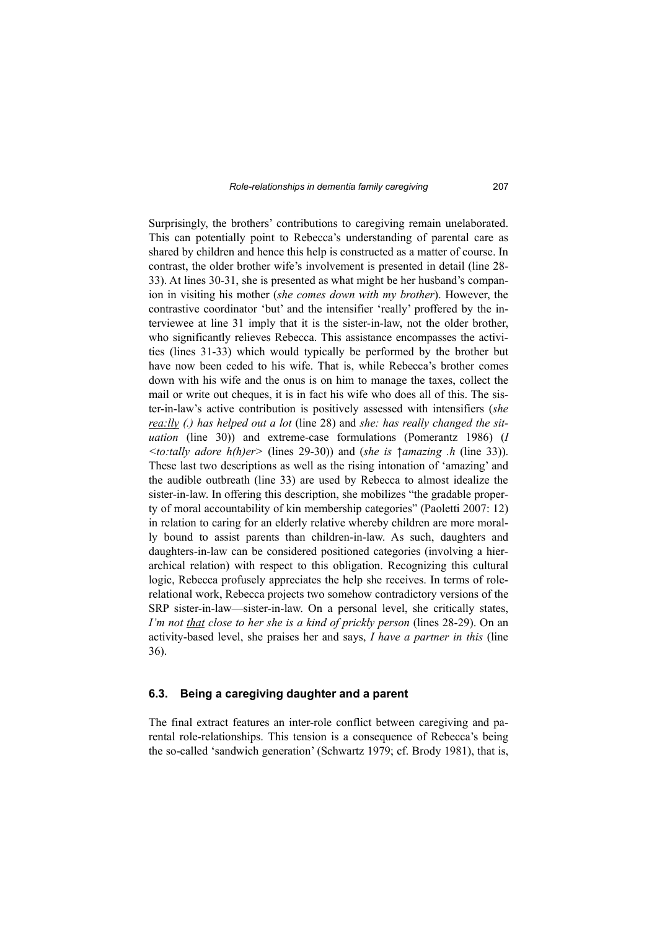Surprisingly, the brothers' contributions to caregiving remain unelaborated. This can potentially point to Rebecca's understanding of parental care as shared by children and hence this help is constructed as a matter of course. In contrast, the older brother wife's involvement is presented in detail (line 28- 33). At lines 30-31, she is presented as what might be her husband's companion in visiting his mother (*she comes down with my brother*). However, the contrastive coordinator 'but' and the intensifier 'really' proffered by the interviewee at line 31 imply that it is the sister-in-law, not the older brother, who significantly relieves Rebecca. This assistance encompasses the activities (lines 31-33) which would typically be performed by the brother but have now been ceded to his wife. That is, while Rebecca's brother comes down with his wife and the onus is on him to manage the taxes, collect the mail or write out cheques, it is in fact his wife who does all of this. The sister-in-law's active contribution is positively assessed with intensifiers (*she rea:lly (.) has helped out a lot* (line 28) and *she: has really changed the situation* (line 30)) and extreme-case formulations (Pomerantz 1986) (*I <to:tally adore h(h)er>* (lines 29-30)) and (*she is ↑amazing .h* (line 33)). These last two descriptions as well as the rising intonation of 'amazing' and the audible outbreath (line 33) are used by Rebecca to almost idealize the sister-in-law. In offering this description, she mobilizes "the gradable property of moral accountability of kin membership categories" (Paoletti 2007: 12) in relation to caring for an elderly relative whereby children are more morally bound to assist parents than children-in-law. As such, daughters and daughters-in-law can be considered positioned categories (involving a hierarchical relation) with respect to this obligation. Recognizing this cultural logic, Rebecca profusely appreciates the help she receives. In terms of rolerelational work, Rebecca projects two somehow contradictory versions of the SRP sister-in-law—sister-in-law. On a personal level, she critically states, *I'm not that close to her she is a kind of prickly person* (lines 28-29). On an activity-based level, she praises her and says, *I have a partner in this* (line 36).

#### **6.3. Being a caregiving daughter and a parent**

The final extract features an inter-role conflict between caregiving and parental role-relationships. This tension is a consequence of Rebecca's being the so-called 'sandwich generation' (Schwartz 1979; cf. Brody 1981), that is,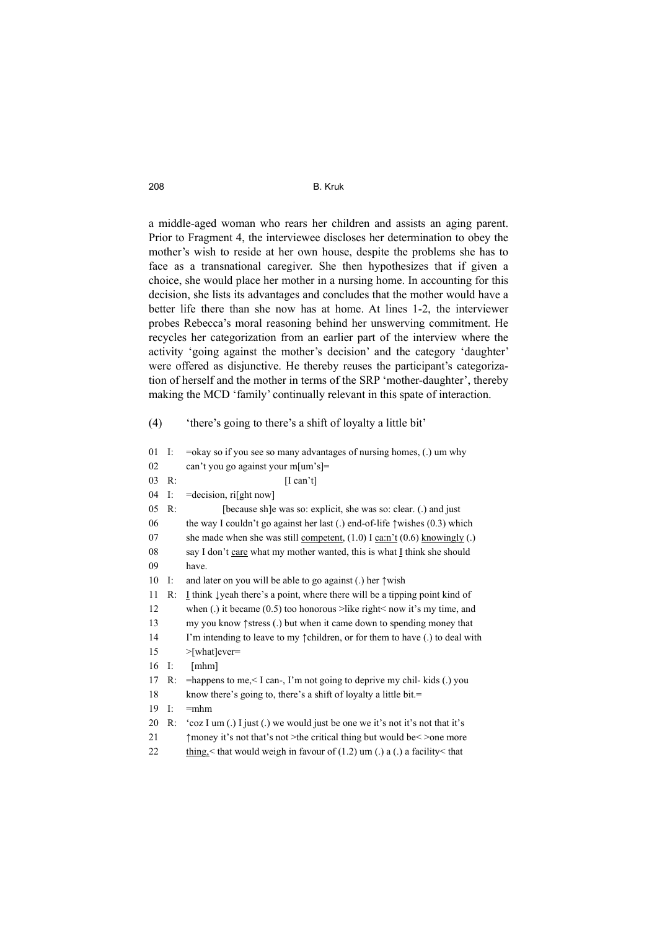a middle-aged woman who rears her children and assists an aging parent. Prior to Fragment 4, the interviewee discloses her determination to obey the mother's wish to reside at her own house, despite the problems she has to face as a transnational caregiver. She then hypothesizes that if given a choice, she would place her mother in a nursing home. In accounting for this decision, she lists its advantages and concludes that the mother would have a better life there than she now has at home. At lines 1-2, the interviewer probes Rebecca's moral reasoning behind her unswerving commitment. He recycles her categorization from an earlier part of the interview where the activity 'going against the mother's decision' and the category 'daughter' were offered as disjunctive. He thereby reuses the participant's categorization of herself and the mother in terms of the SRP 'mother-daughter', thereby making the MCD 'family' continually relevant in this spate of interaction.

(4) 'there's going to there's a shift of loyalty a little bit'

| 01 | I: | $=$ okay so if you see so many advantages of nursing homes, $(.)$ um why               |  |
|----|----|----------------------------------------------------------------------------------------|--|
| 02 |    | can't you go against your m[um's]=                                                     |  |
| 03 | R: | [I can't]                                                                              |  |
| 04 | I: | =decision, ri[ght now]                                                                 |  |
| 05 | R: | [because sh]e was so: explicit, she was so: clear. (.) and just                        |  |
| 06 |    | the way I couldn't go against her last (.) end-of-life $\uparrow$ wishes (0.3) which   |  |
| 07 |    | she made when she was still <u>competent</u> , $(1.0)$ I ca:n't $(0.6)$ knowingly (.)  |  |
| 08 |    | say I don't care what my mother wanted, this is what I think she should                |  |
| 09 |    | have.                                                                                  |  |
| 10 | I: | and later on you will be able to go against (.) her $\uparrow$ wish                    |  |
| 11 | R: | I think $\downarrow$ yeah there's a point, where there will be a tipping point kind of |  |
| 12 |    | when (.) it became $(0.5)$ too honorous >like right< now it's my time, and             |  |
| 13 |    | my you know $\uparrow$ stress (.) but when it came down to spending money that         |  |
| 14 |    | I'm intending to leave to my $\uparrow$ children, or for them to have (.) to deal with |  |
| 15 |    | $>$ [what]ever=                                                                        |  |
| 16 | I: | [mhm]                                                                                  |  |
| 17 | R: | =happens to me, $\leq$ I can-, I'm not going to deprive my chil- kids (.) you          |  |
| 18 |    | know there's going to, there's a shift of loyalty a little bit.=                       |  |
| 19 | I: | $=$ mhm                                                                                |  |
| 20 | R: | 'coz I um (.) I just (.) we would just be one we it's not it's not that it's           |  |
| 21 |    | $\uparrow$ money it's not that's not >the critical thing but would be $\leq$ >one more |  |
| 22 |    | thing, $\leq$ that would weigh in favour of (1.2) um (.) a (.) a facility $\leq$ that  |  |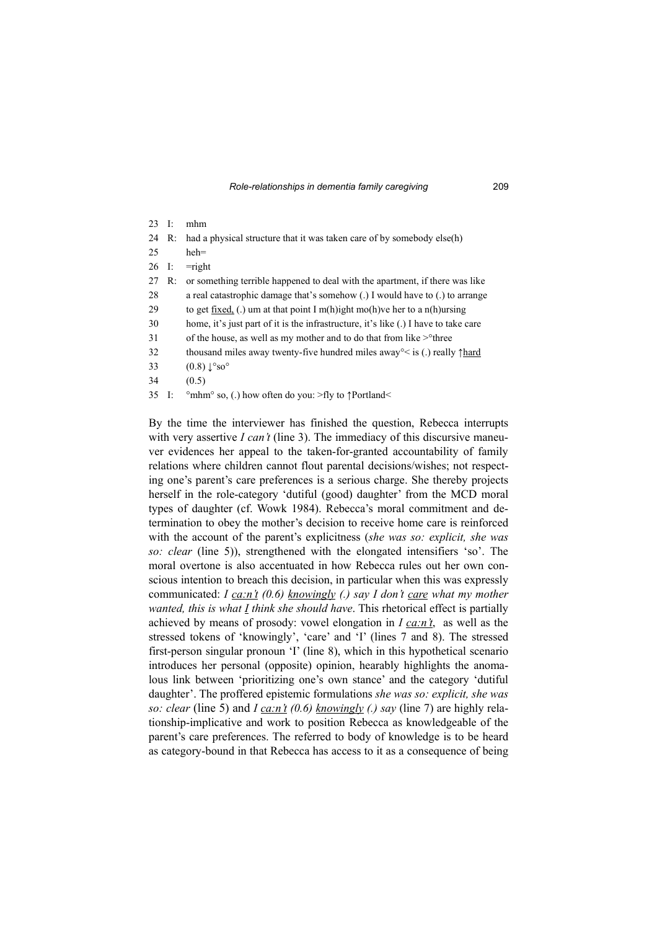| $23 \quad \text{I}:$ |    | mhm                                                                                                 |  |
|----------------------|----|-----------------------------------------------------------------------------------------------------|--|
| 24                   | R: | had a physical structure that it was taken care of by somebody else(h)                              |  |
| 25                   |    | $heh =$                                                                                             |  |
| 26 I:                |    | $=$ right                                                                                           |  |
| 27                   | R: | or something terrible happened to deal with the apartment, if there was like                        |  |
| 28                   |    | a real catastrophic damage that's somehow (.) I would have to (.) to arrange                        |  |
| 29                   |    | to get fixed, (.) um at that point I m(h)ight mo(h)ve her to a n(h) ursing                          |  |
| 30                   |    | home, it's just part of it is the infrastructure, it's like (.) I have to take care                 |  |
| 31                   |    | of the house, as well as my mother and to do that from like $>o$ <sup>o</sup> three                 |  |
| 32                   |    | thousand miles away twenty-five hundred miles away <sup>o</sup> $\lt$ is (.) really $\uparrow$ hard |  |
| 33                   |    | $(0.8)$ $\downarrow^{\circ}$ so <sup><math>\circ</math></sup>                                       |  |
| 34                   |    | (0.5)                                                                                               |  |
| 35                   | Ŀ  | $^{\circ}$ mhm <sup><math>\circ</math></sup> so, (.) how often do you: >fly to $\uparrow$ Portland< |  |

By the time the interviewer has finished the question, Rebecca interrupts with very assertive *I can't* (line 3). The immediacy of this discursive maneuver evidences her appeal to the taken-for-granted accountability of family relations where children cannot flout parental decisions/wishes; not respecting one's parent's care preferences is a serious charge. She thereby projects herself in the role-category 'dutiful (good) daughter' from the MCD moral types of daughter (cf. Wowk 1984). Rebecca's moral commitment and determination to obey the mother's decision to receive home care is reinforced with the account of the parent's explicitness (*she was so: explicit, she was so: clear* (line 5)), strengthened with the elongated intensifiers 'so'. The moral overtone is also accentuated in how Rebecca rules out her own conscious intention to breach this decision, in particular when this was expressly communicated: *I ca:n't (0.6) knowingly (.) say I don't care what my mother wanted, this is what I think she should have*. This rhetorical effect is partially achieved by means of prosody: vowel elongation in *I ca:n't*, as well as the stressed tokens of 'knowingly', 'care' and 'I' (lines 7 and 8). The stressed first-person singular pronoun 'I' (line 8), which in this hypothetical scenario introduces her personal (opposite) opinion, hearably highlights the anomalous link between 'prioritizing one's own stance' and the category 'dutiful daughter'. The proffered epistemic formulations *she was so: explicit, she was so: clear* (line 5) and *I ca:n't (0.6) knowingly (.) say* (line 7) are highly relationship-implicative and work to position Rebecca as knowledgeable of the parent's care preferences. The referred to body of knowledge is to be heard as category-bound in that Rebecca has access to it as a consequence of being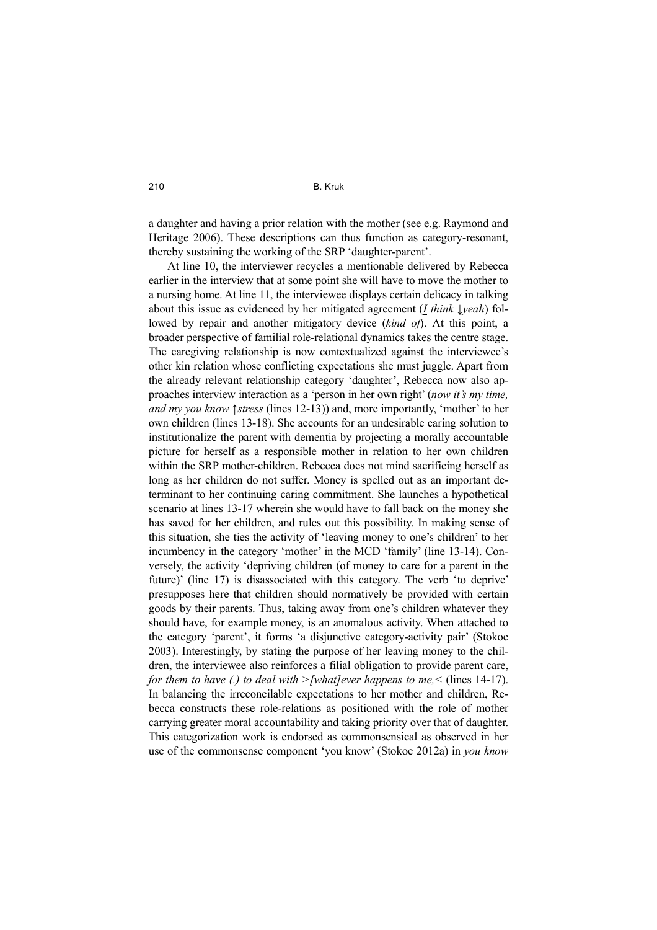a daughter and having a prior relation with the mother (see e.g. Raymond and Heritage 2006). These descriptions can thus function as category-resonant, thereby sustaining the working of the SRP 'daughter-parent'.

At line 10, the interviewer recycles a mentionable delivered by Rebecca earlier in the interview that at some point she will have to move the mother to a nursing home. At line 11, the interviewee displays certain delicacy in talking about this issue as evidenced by her mitigated agreement (*I think ↓yeah*) followed by repair and another mitigatory device (*kind of*). At this point, a broader perspective of familial role-relational dynamics takes the centre stage. The caregiving relationship is now contextualized against the interviewee's other kin relation whose conflicting expectations she must juggle. Apart from the already relevant relationship category 'daughter', Rebecca now also approaches interview interaction as a 'person in her own right' (*now it's my time, and my you know ↑stress* (lines 12-13)) and, more importantly, 'mother' to her own children (lines 13-18). She accounts for an undesirable caring solution to institutionalize the parent with dementia by projecting a morally accountable picture for herself as a responsible mother in relation to her own children within the SRP mother-children. Rebecca does not mind sacrificing herself as long as her children do not suffer. Money is spelled out as an important determinant to her continuing caring commitment. She launches a hypothetical scenario at lines 13-17 wherein she would have to fall back on the money she has saved for her children, and rules out this possibility. In making sense of this situation, she ties the activity of 'leaving money to one's children' to her incumbency in the category 'mother' in the MCD 'family' (line 13-14). Conversely, the activity 'depriving children (of money to care for a parent in the future)' (line 17) is disassociated with this category. The verb 'to deprive' presupposes here that children should normatively be provided with certain goods by their parents. Thus, taking away from one's children whatever they should have, for example money, is an anomalous activity. When attached to the category 'parent', it forms 'a disjunctive category-activity pair' (Stokoe 2003). Interestingly, by stating the purpose of her leaving money to the children, the interviewee also reinforces a filial obligation to provide parent care, *for them to have (.) to deal with >[what]ever happens to me,*  $\le$  *(lines 14-17).* In balancing the irreconcilable expectations to her mother and children, Rebecca constructs these role-relations as positioned with the role of mother carrying greater moral accountability and taking priority over that of daughter. This categorization work is endorsed as commonsensical as observed in her use of the commonsense component 'you know' (Stokoe 2012a) in *you know*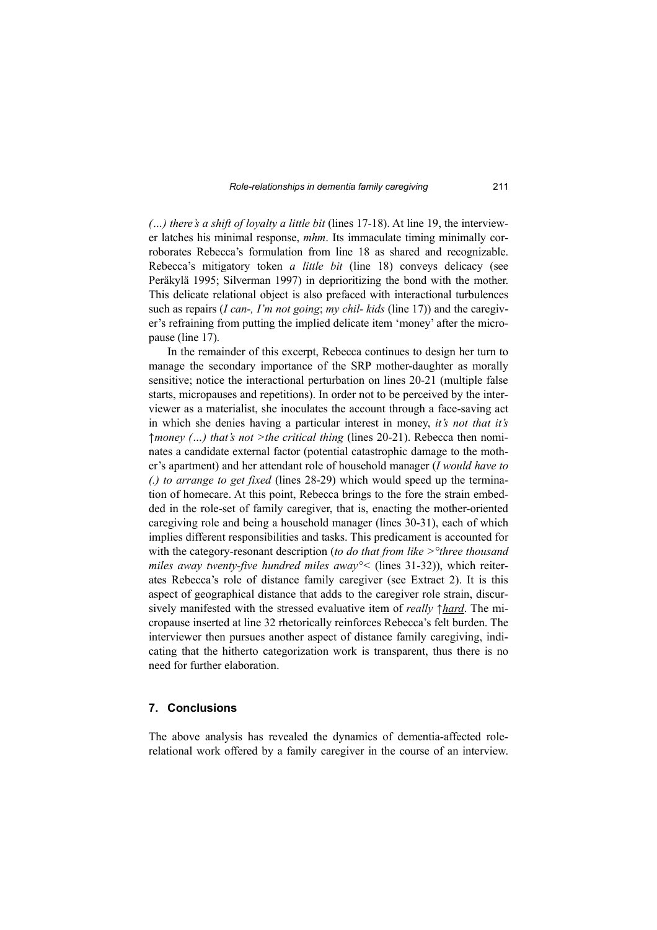*(…) there's a shift of loyalty a little bit* (lines 17-18). At line 19, the interviewer latches his minimal response, *mhm*. Its immaculate timing minimally corroborates Rebecca's formulation from line 18 as shared and recognizable. Rebecca's mitigatory token *a little bit* (line 18) conveys delicacy (see Peräkylä 1995; Silverman 1997) in deprioritizing the bond with the mother. This delicate relational object is also prefaced with interactional turbulences such as repairs (*I can-, I'm not going*; *my chil- kids* (line 17)) and the caregiver's refraining from putting the implied delicate item 'money' after the micropause (line 17).

In the remainder of this excerpt, Rebecca continues to design her turn to manage the secondary importance of the SRP mother-daughter as morally sensitive; notice the interactional perturbation on lines 20-21 (multiple false starts, micropauses and repetitions). In order not to be perceived by the interviewer as a materialist, she inoculates the account through a face-saving act in which she denies having a particular interest in money, *it's not that it's ↑money (…) that's not >the critical thing* (lines 20-21). Rebecca then nominates a candidate external factor (potential catastrophic damage to the mother's apartment) and her attendant role of household manager (*I would have to (.) to arrange to get fixed* (lines 28-29) which would speed up the termination of homecare. At this point, Rebecca brings to the fore the strain embedded in the role-set of family caregiver, that is, enacting the mother-oriented caregiving role and being a household manager (lines 30-31), each of which implies different responsibilities and tasks. This predicament is accounted for with the category-resonant description (*to do that from like >°three thousand miles away twenty-five hundred miles away°<* (lines 31-32)), which reiterates Rebecca's role of distance family caregiver (see Extract 2). It is this aspect of geographical distance that adds to the caregiver role strain, discursively manifested with the stressed evaluative item of *really ↑hard*. The micropause inserted at line 32 rhetorically reinforces Rebecca's felt burden. The interviewer then pursues another aspect of distance family caregiving, indicating that the hitherto categorization work is transparent, thus there is no need for further elaboration.

#### **7. Conclusions**

The above analysis has revealed the dynamics of dementia-affected rolerelational work offered by a family caregiver in the course of an interview.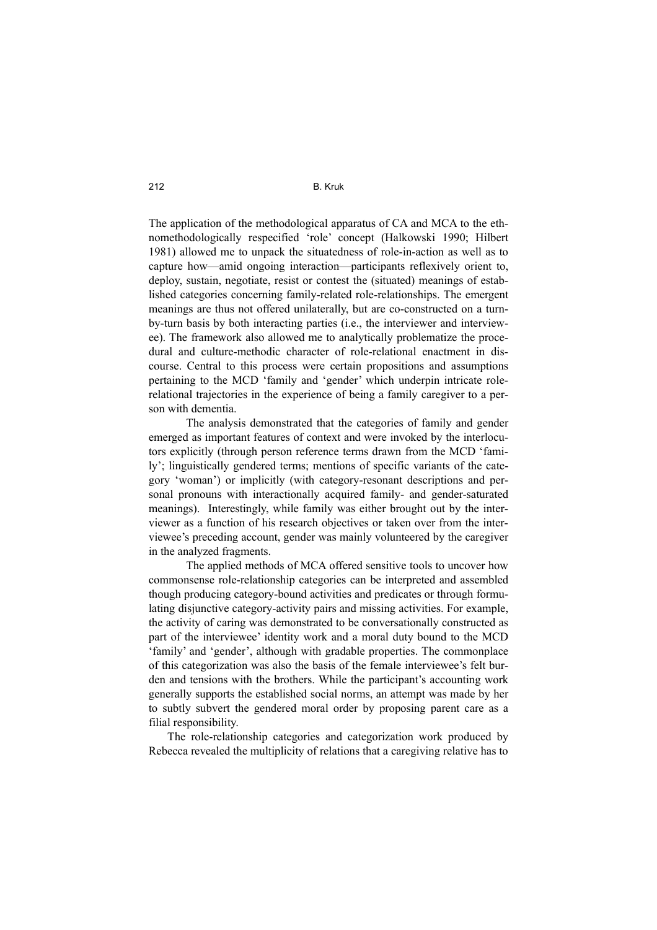The application of the methodological apparatus of CA and MCA to the ethnomethodologically respecified 'role' concept (Halkowski 1990; Hilbert 1981) allowed me to unpack the situatedness of role-in-action as well as to capture how—amid ongoing interaction—participants reflexively orient to, deploy, sustain, negotiate, resist or contest the (situated) meanings of established categories concerning family-related role-relationships. The emergent meanings are thus not offered unilaterally, but are co-constructed on a turnby-turn basis by both interacting parties (i.e., the interviewer and interviewee). The framework also allowed me to analytically problematize the procedural and culture-methodic character of role-relational enactment in discourse. Central to this process were certain propositions and assumptions pertaining to the MCD 'family and 'gender' which underpin intricate rolerelational trajectories in the experience of being a family caregiver to a person with dementia.

 The analysis demonstrated that the categories of family and gender emerged as important features of context and were invoked by the interlocutors explicitly (through person reference terms drawn from the MCD 'family'; linguistically gendered terms; mentions of specific variants of the category 'woman') or implicitly (with category-resonant descriptions and personal pronouns with interactionally acquired family- and gender-saturated meanings). Interestingly, while family was either brought out by the interviewer as a function of his research objectives or taken over from the interviewee's preceding account, gender was mainly volunteered by the caregiver in the analyzed fragments.

 The applied methods of MCA offered sensitive tools to uncover how commonsense role-relationship categories can be interpreted and assembled though producing category-bound activities and predicates or through formulating disjunctive category-activity pairs and missing activities. For example, the activity of caring was demonstrated to be conversationally constructed as part of the interviewee' identity work and a moral duty bound to the MCD 'family' and 'gender', although with gradable properties. The commonplace of this categorization was also the basis of the female interviewee's felt burden and tensions with the brothers. While the participant's accounting work generally supports the established social norms, an attempt was made by her to subtly subvert the gendered moral order by proposing parent care as a filial responsibility.

The role-relationship categories and categorization work produced by Rebecca revealed the multiplicity of relations that a caregiving relative has to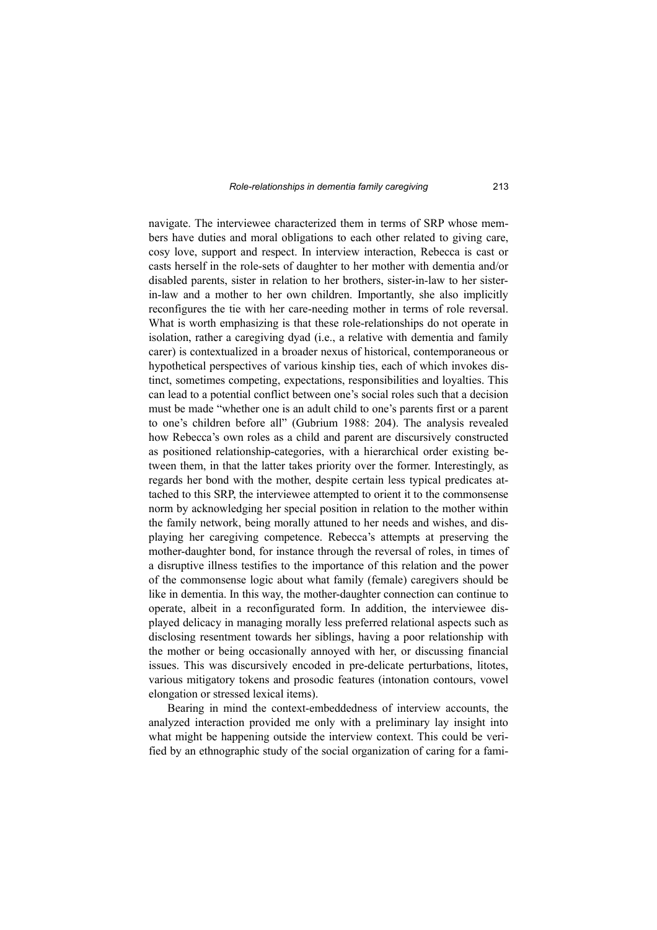navigate. The interviewee characterized them in terms of SRP whose members have duties and moral obligations to each other related to giving care, cosy love, support and respect. In interview interaction, Rebecca is cast or casts herself in the role-sets of daughter to her mother with dementia and/or disabled parents, sister in relation to her brothers, sister-in-law to her sisterin-law and a mother to her own children. Importantly, she also implicitly reconfigures the tie with her care-needing mother in terms of role reversal. What is worth emphasizing is that these role-relationships do not operate in isolation, rather a caregiving dyad (i.e., a relative with dementia and family carer) is contextualized in a broader nexus of historical, contemporaneous or hypothetical perspectives of various kinship ties, each of which invokes distinct, sometimes competing, expectations, responsibilities and loyalties. This can lead to a potential conflict between one's social roles such that a decision must be made "whether one is an adult child to one's parents first or a parent to one's children before all" (Gubrium 1988: 204). The analysis revealed how Rebecca's own roles as a child and parent are discursively constructed as positioned relationship-categories, with a hierarchical order existing between them, in that the latter takes priority over the former. Interestingly, as regards her bond with the mother, despite certain less typical predicates attached to this SRP, the interviewee attempted to orient it to the commonsense norm by acknowledging her special position in relation to the mother within the family network, being morally attuned to her needs and wishes, and displaying her caregiving competence. Rebecca's attempts at preserving the mother-daughter bond, for instance through the reversal of roles, in times of a disruptive illness testifies to the importance of this relation and the power of the commonsense logic about what family (female) caregivers should be like in dementia. In this way, the mother-daughter connection can continue to operate, albeit in a reconfigurated form. In addition, the interviewee displayed delicacy in managing morally less preferred relational aspects such as disclosing resentment towards her siblings, having a poor relationship with the mother or being occasionally annoyed with her, or discussing financial issues. This was discursively encoded in pre-delicate perturbations, litotes, various mitigatory tokens and prosodic features (intonation contours, vowel elongation or stressed lexical items).

Bearing in mind the context-embeddedness of interview accounts, the analyzed interaction provided me only with a preliminary lay insight into what might be happening outside the interview context. This could be verified by an ethnographic study of the social organization of caring for a fami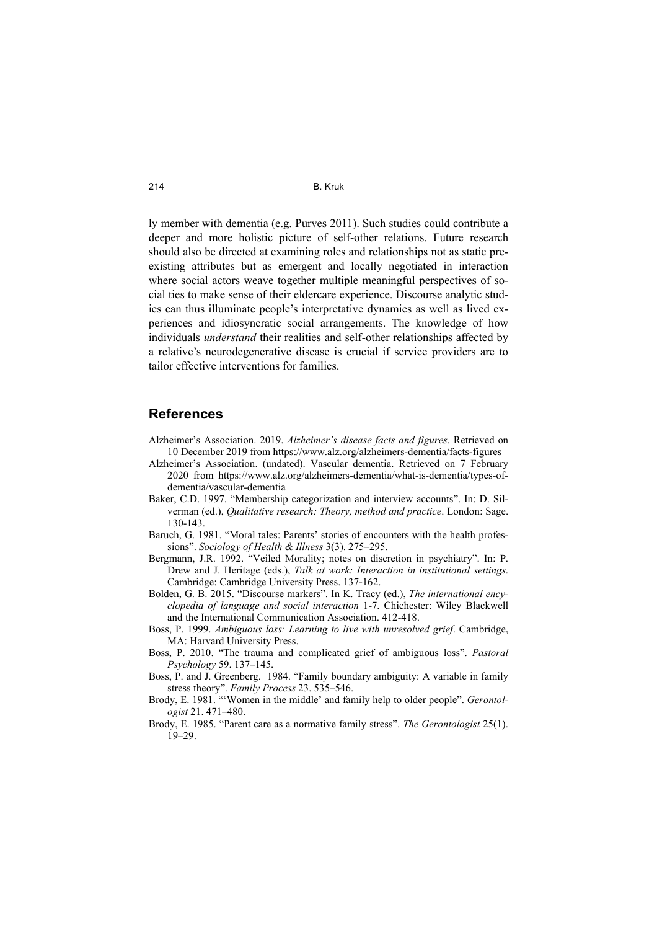ly member with dementia (e.g. Purves 2011). Such studies could contribute a deeper and more holistic picture of self-other relations. Future research should also be directed at examining roles and relationships not as static preexisting attributes but as emergent and locally negotiated in interaction where social actors weave together multiple meaningful perspectives of social ties to make sense of their eldercare experience. Discourse analytic studies can thus illuminate people's interpretative dynamics as well as lived experiences and idiosyncratic social arrangements. The knowledge of how individuals *understand* their realities and self-other relationships affected by a relative's neurodegenerative disease is crucial if service providers are to tailor effective interventions for families.

## **References**

- Alzheimer's Association. 2019. *Alzheimer's disease facts and figures*. Retrieved on 10 December 2019 from https://www.alz.org/alzheimers-dementia/facts-figures
- Alzheimer's Association. (undated). Vascular dementia. Retrieved on 7 February 2020 from https://www.alz.org/alzheimers-dementia/what-is-dementia/types-ofdementia/vascular-dementia
- Baker, C.D. 1997. "Membership categorization and interview accounts". In: D. Silverman (ed.), *Qualitative research: Theory, method and practice*. London: Sage. 130-143.
- Baruch, G. 1981. "Moral tales: Parents' stories of encounters with the health professions". *Sociology of Health & Illness* 3(3). 275–295.
- Bergmann, J.R. 1992. "Veiled Morality; notes on discretion in psychiatry". In: P. Drew and J. Heritage (eds.), *Talk at work: Interaction in institutional settings*. Cambridge: Cambridge University Press. 137-162.
- Bolden, G. B. 2015. "Discourse markers". In K. Tracy (ed.), *The international encyclopedia of language and social interaction* 1-7. Chichester: Wiley Blackwell and the International Communication Association. 412-418.
- Boss, P. 1999. *Ambiguous loss: Learning to live with unresolved grief*. Cambridge, MA: Harvard University Press.
- Boss, P. 2010. "The trauma and complicated grief of ambiguous loss". *Pastoral Psychology* 59. 137–145.
- Boss, P. and J. Greenberg. 1984. "Family boundary ambiguity: A variable in family stress theory". *Family Process* 23. 535–546.
- Brody, E. 1981. "'Women in the middle' and family help to older people". *Gerontologist* 21. 471–480.
- Brody, E. 1985. "Parent care as a normative family stress". *The Gerontologist* 25(1). 19–29.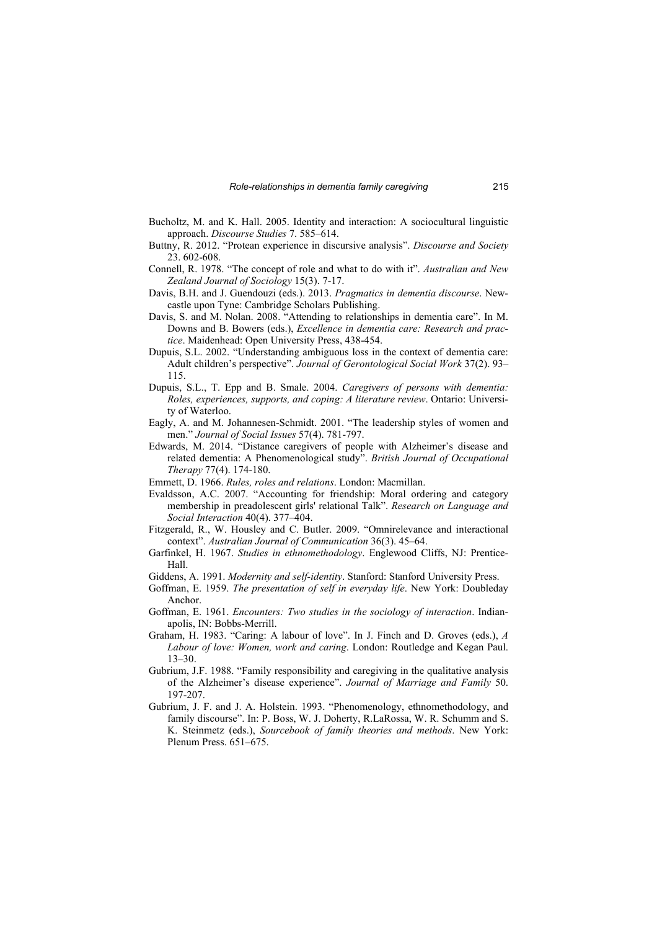- Bucholtz, M. and K. Hall. 2005. Identity and interaction: A sociocultural linguistic approach. *Discourse Studies* 7. 585–614.
- Buttny, R. 2012. "Protean experience in discursive analysis". *Discourse and Society* 23. 602-608.
- Connell, R. 1978. "The concept of role and what to do with it". *Australian and New Zealand Journal of Sociology* 15(3). 7-17.
- Davis, B.H. and J. Guendouzi (eds.). 2013. *Pragmatics in dementia discourse*. Newcastle upon Tyne: Cambridge Scholars Publishing.
- Davis, S. and M. Nolan. 2008. "Attending to relationships in dementia care". In M. Downs and B. Bowers (eds.), *Excellence in dementia care: Research and practice*. Maidenhead: Open University Press, 438-454.
- Dupuis, S.L. 2002. "Understanding ambiguous loss in the context of dementia care: Adult children's perspective". *Journal of Gerontological Social Work* 37(2). 93– 115.
- Dupuis, S.L., T. Epp and B. Smale. 2004. *Caregivers of persons with dementia: Roles, experiences, supports, and coping: A literature review*. Ontario: University of Waterloo.
- Eagly, A. and M. Johannesen-Schmidt. 2001. "The leadership styles of women and men." *Journal of Social Issues* 57(4). 781-797.
- Edwards, M. 2014. "Distance caregivers of people with Alzheimer's disease and related dementia: A Phenomenological study". *British Journal of Occupational Therapy* 77(4). 174-180.
- Emmett, D. 1966. *Rules, roles and relations*. London: Macmillan.
- Evaldsson, A.C. 2007. "Accounting for friendship: Moral ordering and category membership in preadolescent girls' relational Talk". *Research on Language and Social Interaction* 40(4). 377–404.
- Fitzgerald, R., W. Housley and C. Butler. 2009. "Omnirelevance and interactional context". *Australian Journal of Communication* 36(3). 45–64.
- Garfinkel, H. 1967. *Studies in ethnomethodology*. Englewood Cliffs, NJ: Prentice-Hall.
- Giddens, A. 1991. *Modernity and self-identity*. Stanford: Stanford University Press.
- Goffman, E. 1959. *The presentation of self in everyday life*. New York: Doubleday Anchor.
- Goffman, E. 1961. *Encounters: Two studies in the sociology of interaction*. Indianapolis, IN: Bobbs-Merrill.
- Graham, H. 1983. "Caring: A labour of love". In J. Finch and D. Groves (eds.), *A Labour of love: Women, work and caring*. London: Routledge and Kegan Paul. 13–30.
- Gubrium, J.F. 1988. "Family responsibility and caregiving in the qualitative analysis of the Alzheimer's disease experience". *Journal of Marriage and Family* 50. 197-207.
- Gubrium, J. F. and J. A. Holstein. 1993. "Phenomenology, ethnomethodology, and family discourse". In: P. Boss, W. J. Doherty, R.LaRossa, W. R. Schumm and S. K. Steinmetz (eds.), *Sourcebook of family theories and methods*. New York: Plenum Press. 651–675.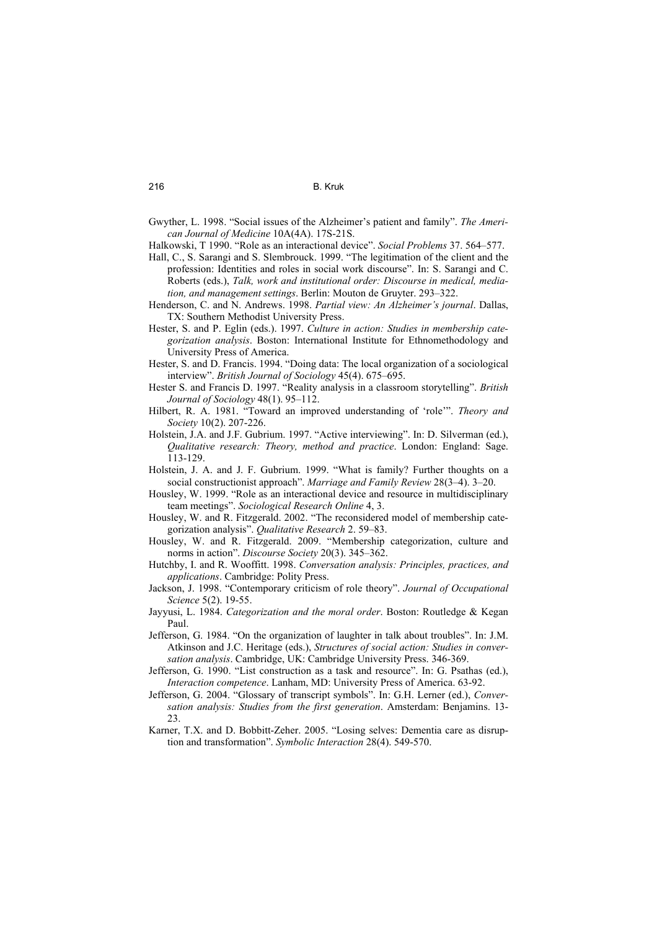- Gwyther, L. 1998. "Social issues of the Alzheimer's patient and family". *The American Journal of Medicine* 10A(4A). 17S-21S.
- Halkowski, T 1990. "Role as an interactional device". *Social Problems* 37. 564–577.
- Hall, C., S. Sarangi and S. Slembrouck. 1999. "The legitimation of the client and the profession: Identities and roles in social work discourse". In: S. Sarangi and C. Roberts (eds.), *Talk, work and institutional order: Discourse in medical, mediation, and management settings*. Berlin: Mouton de Gruyter. 293–322.
- Henderson, C. and N. Andrews. 1998. *Partial view: An Alzheimer's journal*. Dallas, TX: Southern Methodist University Press.
- Hester, S. and P. Eglin (eds.). 1997. *Culture in action: Studies in membership categorization analysis*. Boston: International Institute for Ethnomethodology and University Press of America.
- Hester, S. and D. Francis. 1994. "Doing data: The local organization of a sociological interview". *British Journal of Sociology* 45(4). 675–695.
- Hester S. and Francis D. 1997. "Reality analysis in a classroom storytelling". *British Journal of Sociology* 48(1). 95–112.
- Hilbert, R. A. 1981. "Toward an improved understanding of 'role'". *Theory and Society* 10(2). 207-226.
- Holstein, J.A. and J.F. Gubrium. 1997. "Active interviewing". In: D. Silverman (ed.), *Qualitative research: Theory, method and practice*. London: England: Sage. 113-129.
- Holstein, J. A. and J. F. Gubrium. 1999. "What is family? Further thoughts on a social constructionist approach". *Marriage and Family Review* 28(3–4). 3–20.
- Housley, W. 1999. "Role as an interactional device and resource in multidisciplinary team meetings". *Sociological Research Online* 4, 3.
- Housley, W. and R. Fitzgerald. 2002. "The reconsidered model of membership categorization analysis". *Qualitative Research* 2. 59–83.
- Housley, W. and R. Fitzgerald. 2009. "Membership categorization, culture and norms in action". *Discourse Society* 20(3). 345–362.
- Hutchby, I. and R. Wooffitt. 1998. *Conversation analysis: Principles, practices, and applications*. Cambridge: Polity Press.
- Jackson, J. 1998. "Contemporary criticism of role theory". *Journal of Occupational Science* 5(2). 19-55.
- Jayyusi, L. 1984. *Categorization and the moral order*. Boston: Routledge & Kegan Paul.
- Jefferson, G. 1984. "On the organization of laughter in talk about troubles". In: J.M. Atkinson and J.C. Heritage (eds.), *Structures of social action: Studies in conversation analysis*. Cambridge, UK: Cambridge University Press. 346-369.
- Jefferson, G. 1990. "List construction as a task and resource". In: G. Psathas (ed.), *Interaction competence*. Lanham, MD: University Press of America. 63-92.
- Jefferson, G. 2004. "Glossary of transcript symbols". In: G.H. Lerner (ed.), *Conversation analysis: Studies from the first generation*. Amsterdam: Benjamins. 13- 23.
- Karner, T.X. and D. Bobbitt-Zeher. 2005. "Losing selves: Dementia care as disruption and transformation". *Symbolic Interaction* 28(4). 549-570.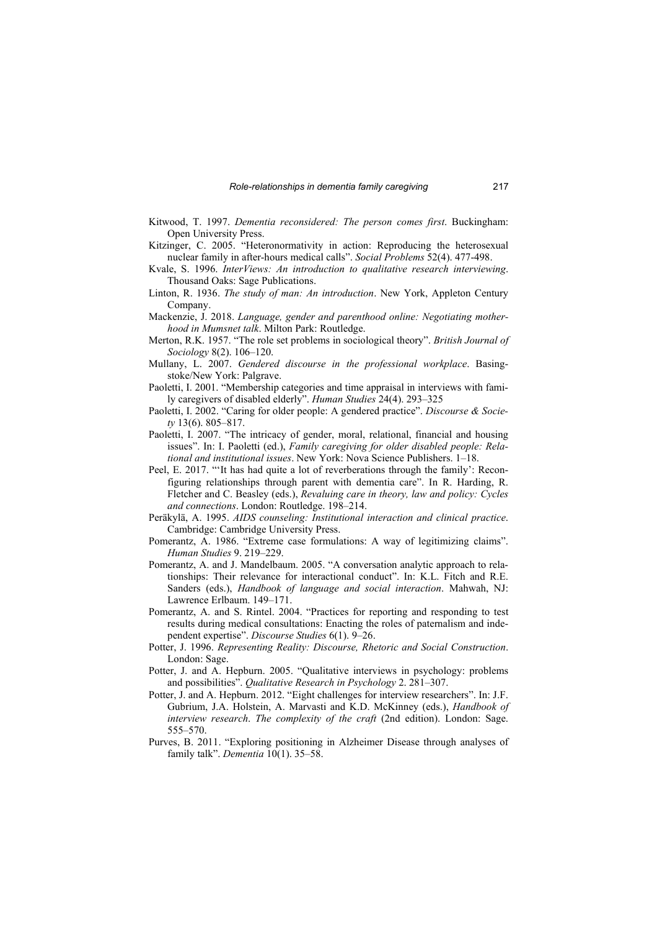- Kitwood, T. 1997. *Dementia reconsidered: The person comes first*. Buckingham: Open University Press.
- Kitzinger, C. 2005. "Heteronormativity in action: Reproducing the heterosexual nuclear family in after-hours medical calls". *Social Problems* 52(4). 477-498.
- Kvale, S. 1996. *InterViews: An introduction to qualitative research interviewing*. Thousand Oaks: Sage Publications.
- Linton, R. 1936. *The study of man: An introduction*. New York, Appleton Century Company.
- Mackenzie, J. 2018. *Language, gender and parenthood online: Negotiating motherhood in Mumsnet talk*. Milton Park: Routledge.
- Merton, R.K. 1957. "The role set problems in sociological theory". *British Journal of Sociology* 8(2). 106–120.
- Mullany, L. 2007. *Gendered discourse in the professional workplace*. Basingstoke/New York: Palgrave.
- Paoletti, I. 2001. "Membership categories and time appraisal in interviews with family caregivers of disabled elderly". *Human Studies* 24(4). 293–325
- Paoletti, I. 2002. "Caring for older people: A gendered practice". *Discourse & Society* 13(6). 805–817.
- Paoletti, I. 2007. "The intricacy of gender, moral, relational, financial and housing issues". In: I. Paoletti (ed.), *Family caregiving for older disabled people: Relational and institutional issues*. New York: Nova Science Publishers. 1–18.
- Peel, E. 2017. "'It has had quite a lot of reverberations through the family': Reconfiguring relationships through parent with dementia care". In R. Harding, R. Fletcher and C. Beasley (eds.), *Revaluing care in theory, law and policy: Cycles and connections*. London: Routledge. 198–214.
- Peräkylä, A. 1995. *AIDS counseling: Institutional interaction and clinical practice*. Cambridge: Cambridge University Press.
- Pomerantz, A. 1986. "Extreme case formulations: A way of legitimizing claims". *Human Studies* 9. 219–229.
- Pomerantz, A. and J. Mandelbaum. 2005. "A conversation analytic approach to relationships: Their relevance for interactional conduct". In: K.L. Fitch and R.E. Sanders (eds.), *Handbook of language and social interaction*. Mahwah, NJ: Lawrence Erlbaum. 149–171.
- Pomerantz, A. and S. Rintel. 2004. "Practices for reporting and responding to test results during medical consultations: Enacting the roles of paternalism and independent expertise". *Discourse Studies* 6(1). 9–26.
- Potter, J. 1996. *Representing Reality: Discourse, Rhetoric and Social Construction*. London: Sage.
- Potter, J. and A. Hepburn. 2005. "Qualitative interviews in psychology: problems and possibilities". *Qualitative Research in Psychology* 2. 281–307.
- Potter, J. and A. Hepburn. 2012. "Eight challenges for interview researchers". In: J.F. Gubrium, J.A. Holstein, A. Marvasti and K.D. McKinney (eds.), *Handbook of interview research*. *The complexity of the craft* (2nd edition). London: Sage. 555–570.
- Purves, B. 2011. "Exploring positioning in Alzheimer Disease through analyses of family talk". *Dementia* 10(1). 35–58.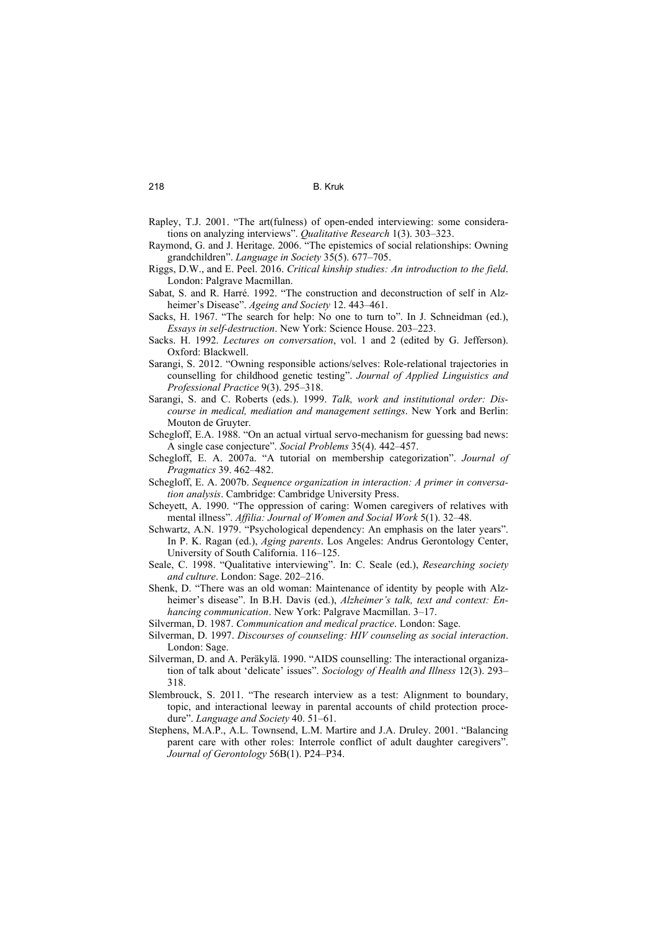- Rapley, T.J. 2001. "The art(fulness) of open-ended interviewing: some considerations on analyzing interviews". *Qualitative Research* 1(3). 303–323.
- Raymond, G. and J. Heritage. 2006. "The epistemics of social relationships: Owning grandchildren". *Language in Society* 35(5). 677–705.
- Riggs, D.W., and E. Peel. 2016. *Critical kinship studies: An introduction to the field*. London: Palgrave Macmillan.
- Sabat, S. and R. Harré. 1992. "The construction and deconstruction of self in Alzheimer's Disease". *Ageing and Society* 12. 443–461.
- Sacks, H. 1967. "The search for help: No one to turn to". In J. Schneidman (ed.), *Essays in self-destruction*. New York: Science House. 203–223.
- Sacks. H. 1992. *Lectures on conversation*, vol. 1 and 2 (edited by G. Jefferson). Oxford: Blackwell.
- Sarangi, S. 2012. "Owning responsible actions/selves: Role-relational trajectories in counselling for childhood genetic testing". *Journal of Applied Linguistics and Professional Practice* 9(3). 295–318.
- Sarangi, S. and C. Roberts (eds.). 1999. *Talk, work and institutional order: Discourse in medical, mediation and management settings*. New York and Berlin: Mouton de Gruyter.
- Schegloff, E.A. 1988. "On an actual virtual servo-mechanism for guessing bad news: A single case conjecture". *Social Problems* 35(4). 442–457.
- Schegloff, E. A. 2007a. "A tutorial on membership categorization". *Journal of Pragmatics* 39. 462–482.
- Schegloff, E. A. 2007b. *Sequence organization in interaction: A primer in conversation analysis*. Cambridge: Cambridge University Press.
- Scheyett, A. 1990. "The oppression of caring: Women caregivers of relatives with mental illness". *Affilia: Journal of Women and Social Work* 5(1). 32–48.
- Schwartz, A.N. 1979. "Psychological dependency: An emphasis on the later years". In P. K. Ragan (ed.), *Aging parents*. Los Angeles: Andrus Gerontology Center, University of South California. 116–125.
- Seale, C. 1998. "Qualitative interviewing". In: C. Seale (ed.), *Researching society and culture*. London: Sage. 202–216.
- Shenk, D. "There was an old woman: Maintenance of identity by people with Alzheimer's disease". In B.H. Davis (ed.), *Alzheimer's talk, text and context: Enhancing communication*. New York: Palgrave Macmillan. 3–17.
- Silverman, D. 1987. *Communication and medical practice*. London: Sage.
- Silverman, D. 1997. *Discourses of counseling: HIV counseling as social interaction*. London: Sage.
- Silverman, D. and A. Peräkylä. 1990. "AIDS counselling: The interactional organization of talk about 'delicate' issues". *Sociology of Health and Illness* 12(3). 293– 318.
- Slembrouck, S. 2011. "The research interview as a test: Alignment to boundary, topic, and interactional leeway in parental accounts of child protection procedure". *Language and Society* 40. 51–61.
- Stephens, M.A.P., A.L. Townsend, L.M. Martire and J.A. Druley. 2001. "Balancing parent care with other roles: Interrole conflict of adult daughter caregivers". *Journal of Gerontology* 56B(1). P24–P34.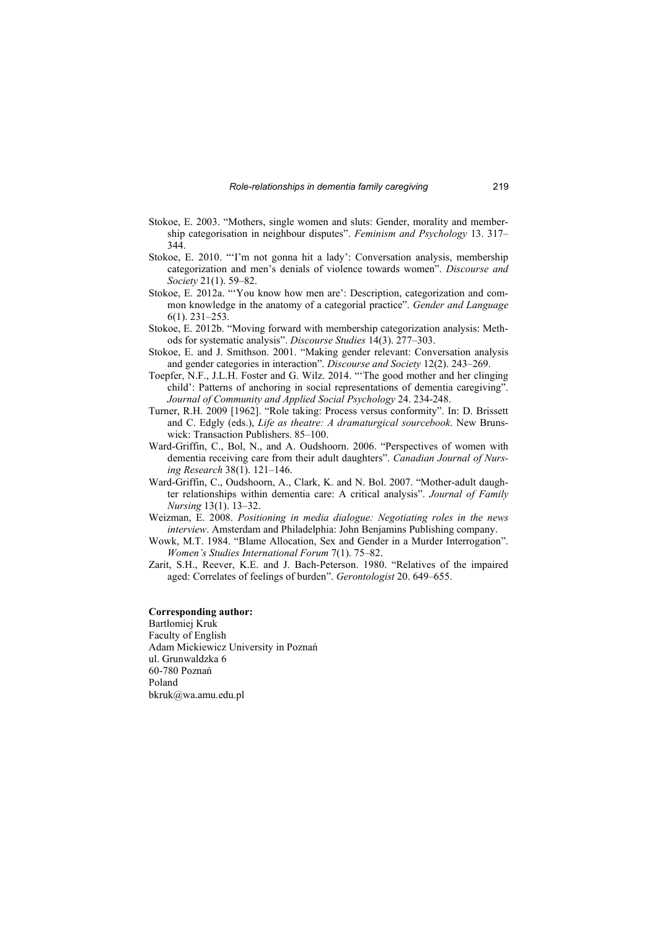- Stokoe, E. 2003. "Mothers, single women and sluts: Gender, morality and membership categorisation in neighbour disputes". *Feminism and Psychology* 13. 317– 344.
- Stokoe, E. 2010. "'I'm not gonna hit a lady': Conversation analysis, membership categorization and men's denials of violence towards women". *Discourse and Society* 21(1). 59–82.
- Stokoe, E. 2012a. "'You know how men are': Description, categorization and common knowledge in the anatomy of a categorial practice". *Gender and Language* 6(1). 231–253.
- Stokoe, E. 2012b. "Moving forward with membership categorization analysis: Methods for systematic analysis". *Discourse Studies* 14(3). 277–303.
- Stokoe, E. and J. Smithson. 2001. "Making gender relevant: Conversation analysis and gender categories in interaction". *Discourse and Society* 12(2). 243–269.
- Toepfer, N.F., J.L.H. Foster and G. Wilz. 2014. "'The good mother and her clinging child': Patterns of anchoring in social representations of dementia caregiving". *Journal of Community and Applied Social Psychology* 24. 234-248.
- Turner, R.H. 2009 [1962]. "Role taking: Process versus conformity". In: D. Brissett and C. Edgly (eds.), *Life as theatre: A dramaturgical sourcebook*. New Brunswick: Transaction Publishers. 85–100.
- Ward-Griffin, C., Bol, N., and A. Oudshoorn. 2006. "Perspectives of women with dementia receiving care from their adult daughters". *Canadian Journal of Nursing Research* 38(1). 121–146.
- Ward-Griffin, C., Oudshoorn, A., Clark, K. and N. Bol. 2007. "Mother-adult daughter relationships within dementia care: A critical analysis". *Journal of Family Nursing* 13(1). 13–32.
- Weizman, E. 2008. *Positioning in media dialogue: Negotiating roles in the news interview*. Amsterdam and Philadelphia: John Benjamins Publishing company.
- Wowk, M.T. 1984. "Blame Allocation, Sex and Gender in a Murder Interrogation". *Women's Studies International Forum* 7(1). 75–82.
- Zarit, S.H., Reever, K.E. and J. Bach-Peterson. 1980. "Relatives of the impaired aged: Correlates of feelings of burden". *Gerontologist* 20. 649–655.

#### **Corresponding author:**

Bartłomiej Kruk Faculty of English Adam Mickiewicz University in Poznań ul. Grunwaldzka 6 60-780 Poznań Poland bkruk@wa.amu.edu.pl